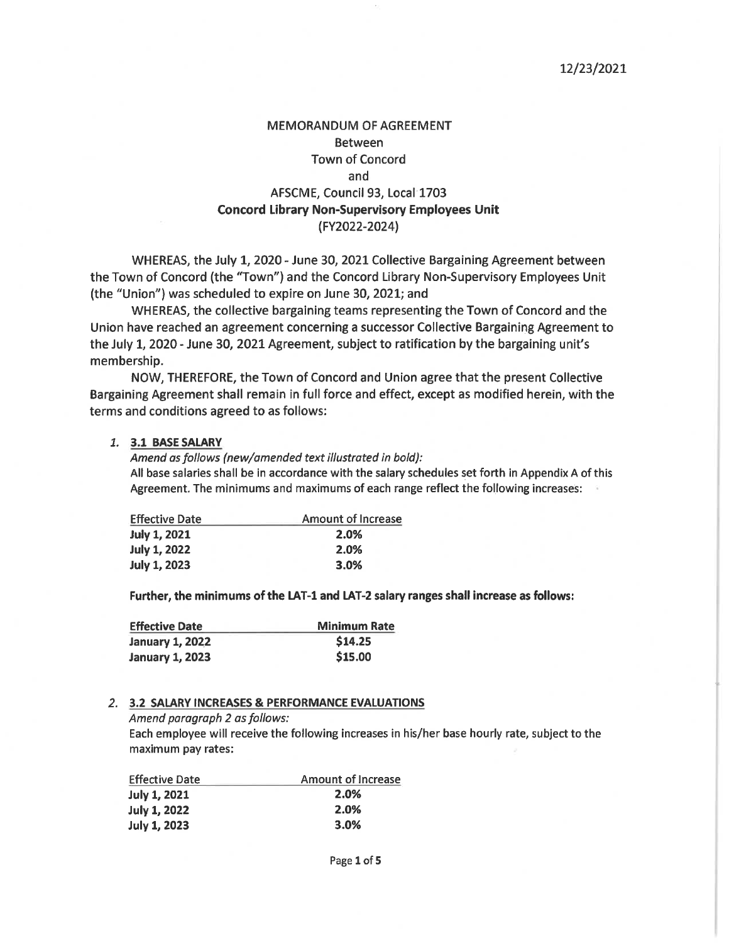#### 12/23/2021

## **MEMORANDUM OF AGREEMENT Between Town of Concord** and AFSCME, Council 93, Local 1703 **Concord Library Non-Supervisory Employees Unit** (FY2022-2024)

WHEREAS, the July 1, 2020 - June 30, 2021 Collective Bargaining Agreement between the Town of Concord (the "Town") and the Concord Library Non-Supervisory Employees Unit (the "Union") was scheduled to expire on June 30, 2021; and

WHEREAS, the collective bargaining teams representing the Town of Concord and the Union have reached an agreement concerning a successor Collective Bargaining Agreement to the July 1, 2020 - June 30, 2021 Agreement, subject to ratification by the bargaining unit's membership.

NOW, THEREFORE, the Town of Concord and Union agree that the present Collective Bargaining Agreement shall remain in full force and effect, except as modified herein, with the terms and conditions agreed to as follows:

#### 1. 3.1 BASE SALARY

Amend as follows (new/amended text illustrated in bold): All base salaries shall be in accordance with the salary schedules set forth in Appendix A of this Agreement. The minimums and maximums of each range reflect the following increases:

| <b>Effective Date</b> | <b>Amount of Increase</b> |  |
|-----------------------|---------------------------|--|
| <b>July 1, 2021</b>   | 2.0%                      |  |
| <b>July 1, 2022</b>   | 2.0%                      |  |
| <b>July 1, 2023</b>   | 3.0%                      |  |

Further, the minimums of the LAT-1 and LAT-2 salary ranges shall increase as follows:

| <b>Effective Date</b>  | <b>Minimum Rate</b> |  |
|------------------------|---------------------|--|
| <b>January 1, 2022</b> | \$14.25             |  |
| <b>January 1, 2023</b> | \$15.00             |  |

#### 2. 3.2 SALARY INCREASES & PERFORMANCE EVALUATIONS

Amend paragraph 2 as follows:

Each employee will receive the following increases in his/her base hourly rate, subject to the maximum pay rates:

| <b>Effective Date</b> | Amount of Increase |
|-----------------------|--------------------|
| <b>July 1, 2021</b>   | 2.0%               |
| <b>July 1, 2022</b>   | 2.0%               |
| <b>July 1, 2023</b>   | 3.0%               |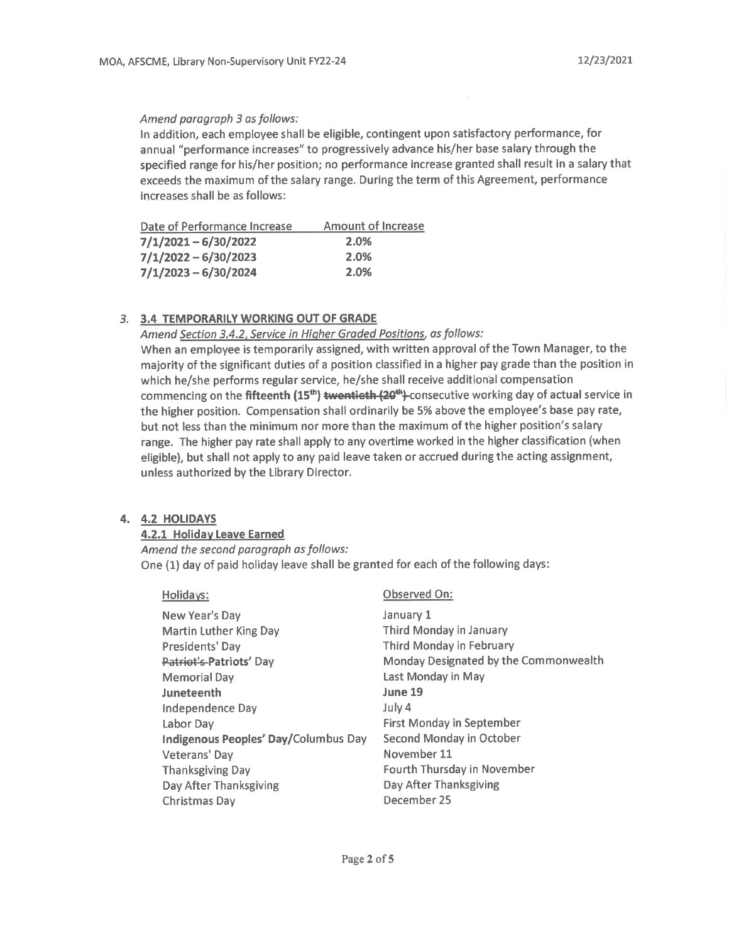#### Amend paragraph 3 as follows:

In addition, each employee shall be eligible, contingent upon satisfactory performance, for annual "performance increases" to progressively advance his/her base salary through the specified range for his/her position; no performance increase granted shall result in a salary that exceeds the maximum of the salary range. During the term of this Agreement, performance increases shall be as follows:

| Date of Performance Increase | <b>Amount of Increase</b> |
|------------------------------|---------------------------|
| $7/1/2021 - 6/30/2022$       | 2.0%                      |
| $7/1/2022 - 6/30/2023$       | 2.0%                      |
| $7/1/2023 - 6/30/2024$       | 2.0%                      |

#### 3. 3.4 TEMPORARILY WORKING OUT OF GRADE

#### Amend Section 3.4.2, Service in Higher Graded Positions, as follows:

When an employee is temporarily assigned, with written approval of the Town Manager, to the majority of the significant duties of a position classified in a higher pay grade than the position in which he/she performs regular service, he/she shall receive additional compensation commencing on the fifteenth (15<sup>th</sup>) twentieth (20<sup>th</sup>)-consecutive working day of actual service in the higher position. Compensation shall ordinarily be 5% above the employee's base pay rate, but not less than the minimum nor more than the maximum of the higher position's salary range. The higher pay rate shall apply to any overtime worked in the higher classification (when eligible), but shall not apply to any paid leave taken or accrued during the acting assignment, unless authorized by the Library Director.

#### 4. 4.2 HOLIDAYS

#### 4.2.1 Holiday Leave Earned

Amend the second paragraph as follows: One (1) day of paid holiday leave shall be granted for each of the following days:

#### Holidays:

New Year's Day **Martin Luther King Day** Presidents' Day Patriot's Patriots' Day Memorial Day Juneteenth Independence Day Labor Day Indigenous Peoples' Day/Columbus Day Veterans' Day **Thanksgiving Day** Day After Thanksgiving Christmas Day

#### Observed On:

January 1 Third Monday in January Third Monday in February Monday Designated by the Commonwealth Last Monday in May June 19 July 4 **First Monday in September** Second Monday in October November 11 Fourth Thursday in November Day After Thanksgiving December 25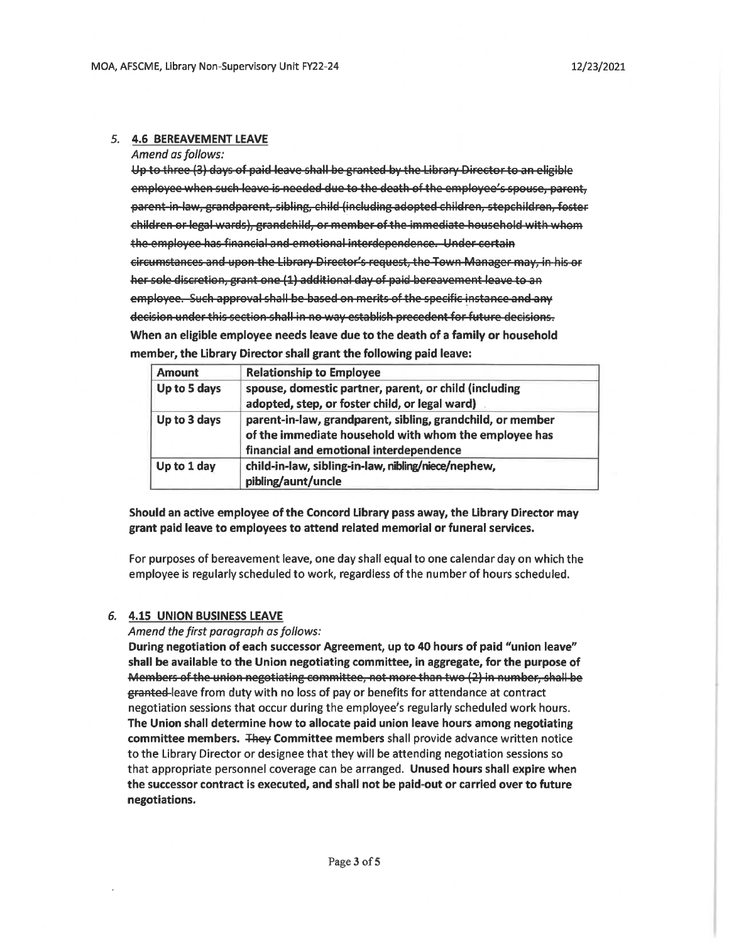#### 5. 4.6 BEREAVEMENT LEAVE

Amend as follows:

Up to three (3) days of paid leave shall be granted by the Library Director to an eligible employee when such leave is needed due to the death of the employee's spouse, parent, parent-in-law, grandparent, sibling, child (including adopted children, stepchildren, foster children or legal wards), grandchild, or member of the immediate household with whom the employee has financial and emotional interdependence. Under certain circumstances and upon the Library Director's request, the Town Manager may, in his or her sole discretion, grant one (1) additional day of paid bereavement leave to an employee. Such approval shall be based on merits of the specific instance and any decision under this section shall in no way establish precedent for future decisions. When an eligible employee needs leave due to the death of a family or household member, the Library Director shall grant the following paid leave:

| <b>Amount</b> | <b>Relationship to Employee</b>                            |
|---------------|------------------------------------------------------------|
| Up to 5 days  | spouse, domestic partner, parent, or child (including      |
|               | adopted, step, or foster child, or legal ward)             |
| Up to 3 days  | parent-in-law, grandparent, sibling, grandchild, or member |
|               | of the immediate household with whom the employee has      |
|               | financial and emotional interdependence                    |
| Up to 1 day   | child-in-law, sibling-in-law, nibling/niece/nephew,        |
|               | pibling/aunt/uncle                                         |

Should an active employee of the Concord Library pass away, the Library Director may grant paid leave to employees to attend related memorial or funeral services.

For purposes of bereavement leave, one day shall equal to one calendar day on which the employee is regularly scheduled to work, regardless of the number of hours scheduled.

#### 6. 4.15 UNION BUSINESS LEAVE

#### Amend the first paragraph as follows:

During negotiation of each successor Agreement, up to 40 hours of paid "union leave" shall be available to the Union negotiating committee, in aggregate, for the purpose of Members of the union negotiating committee, not more than two (2) in number, shall be granted-leave from duty with no loss of pay or benefits for attendance at contract negotiation sessions that occur during the employee's regularly scheduled work hours. The Union shall determine how to allocate paid union leave hours among negotiating committee members. They Committee members shall provide advance written notice to the Library Director or designee that they will be attending negotiation sessions so that appropriate personnel coverage can be arranged. Unused hours shall expire when the successor contract is executed, and shall not be paid-out or carried over to future negotiations.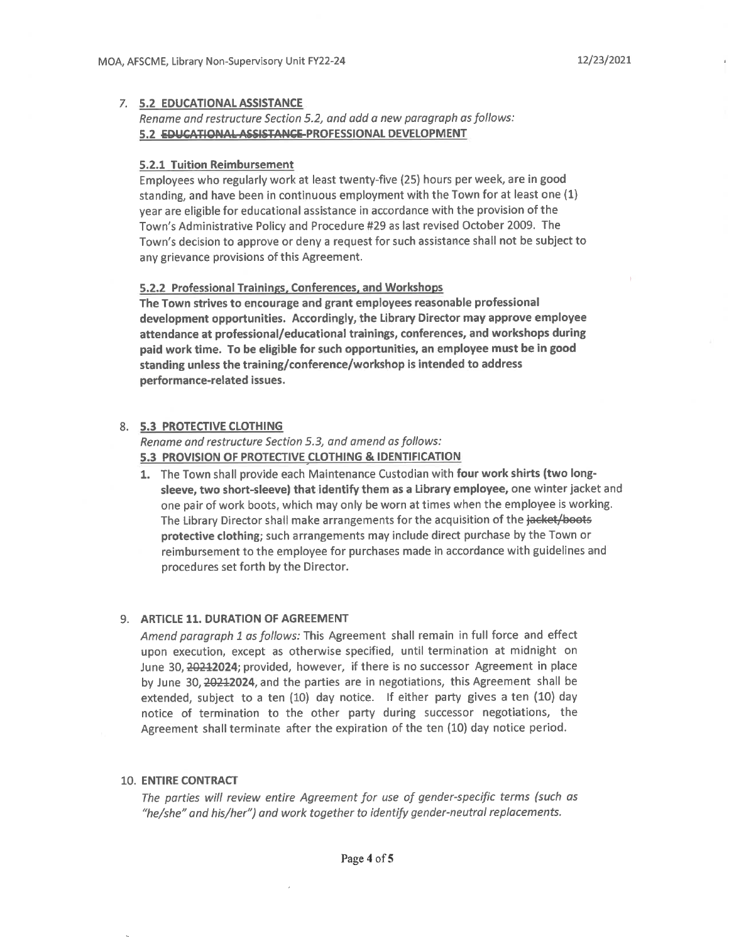#### 7. 5.2 EDUCATIONAL ASSISTANCE

#### Rename and restructure Section 5.2, and add a new paragraph as follows: 5.2 EDUCATIONAL ASSISTANCE-PROFESSIONAL DEVELOPMENT

#### **5.2.1 Tuition Reimbursement**

Employees who regularly work at least twenty-five (25) hours per week, are in good standing, and have been in continuous employment with the Town for at least one (1) year are eligible for educational assistance in accordance with the provision of the Town's Administrative Policy and Procedure #29 as last revised October 2009. The Town's decision to approve or deny a request for such assistance shall not be subject to any grievance provisions of this Agreement.

#### 5.2.2 Professional Trainings, Conferences, and Workshops

The Town strives to encourage and grant employees reasonable professional development opportunities. Accordingly, the Library Director may approve employee attendance at professional/educational trainings, conferences, and workshops during paid work time. To be eligible for such opportunities, an employee must be in good standing unless the training/conference/workshop is intended to address performance-related issues.

#### 8. 5.3 PROTECTIVE CLOTHING

Rename and restructure Section 5.3, and amend as follows: 5.3 PROVISION OF PROTECTIVE CLOTHING & IDENTIFICATION

1. The Town shall provide each Maintenance Custodian with four work shirts (two longsleeve, two short-sleeve) that identify them as a Library employee, one winter jacket and one pair of work boots, which may only be worn at times when the employee is working. The Library Director shall make arrangements for the acquisition of the jacket/boots protective clothing; such arrangements may include direct purchase by the Town or reimbursement to the employee for purchases made in accordance with guidelines and procedures set forth by the Director.

#### 9. ARTICLE 11. DURATION OF AGREEMENT

Amend paragraph 1 as follows: This Agreement shall remain in full force and effect upon execution, except as otherwise specified, until termination at midnight on June 30, 20212024; provided, however, if there is no successor Agreement in place by June 30, 20212024, and the parties are in negotiations, this Agreement shall be extended, subject to a ten  $(10)$  day notice. If either party gives a ten  $(10)$  day notice of termination to the other party during successor negotiations, the Agreement shall terminate after the expiration of the ten (10) day notice period.

#### **10. ENTIRE CONTRACT**

The parties will review entire Agreement for use of gender-specific terms (such as "he/she" and his/her") and work together to identify gender-neutral replacements.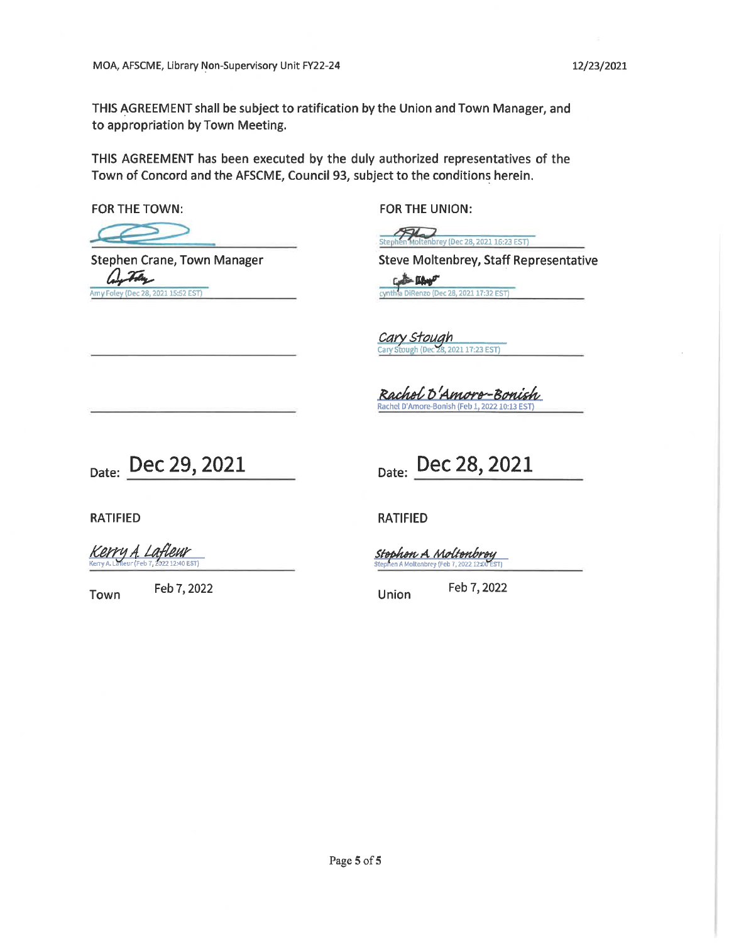THIS AGREEMENT shall be subject to ratification by the Union and Town Manager, and to appropriation by Town Meeting.

THIS AGREEMENT has been executed by the duly authorized representatives of the Town of Concord and the AFSCME, Council 93, subject to the conditions herein.

FOR THE TOWN:

FOR THE UNION:

Moltenbrey (Dec 28, 2021 16:23 EST)

**Stephen Crane, Town Manager** 2021 15:52 EST)

**Steve Moltenbrey, Staff Representative Line** DiRenzo (Dec 28, 2021 17:32 EST) cynth

Cary Stough 2021 17:23 EST)

Rachol D'Amoro-Bonish

Date: Dec 29, 2021

Date: Dec 28, 2021

**RATIFIED** 

Kerry A. Lafteur

Feb 7, 2022 Town

**RATIFIED** 

<u> Stophon A Moltonbroy</u> 1 A Moltenbrey (Feb 7, 2022, 12

Feb 7, 2022 **Union**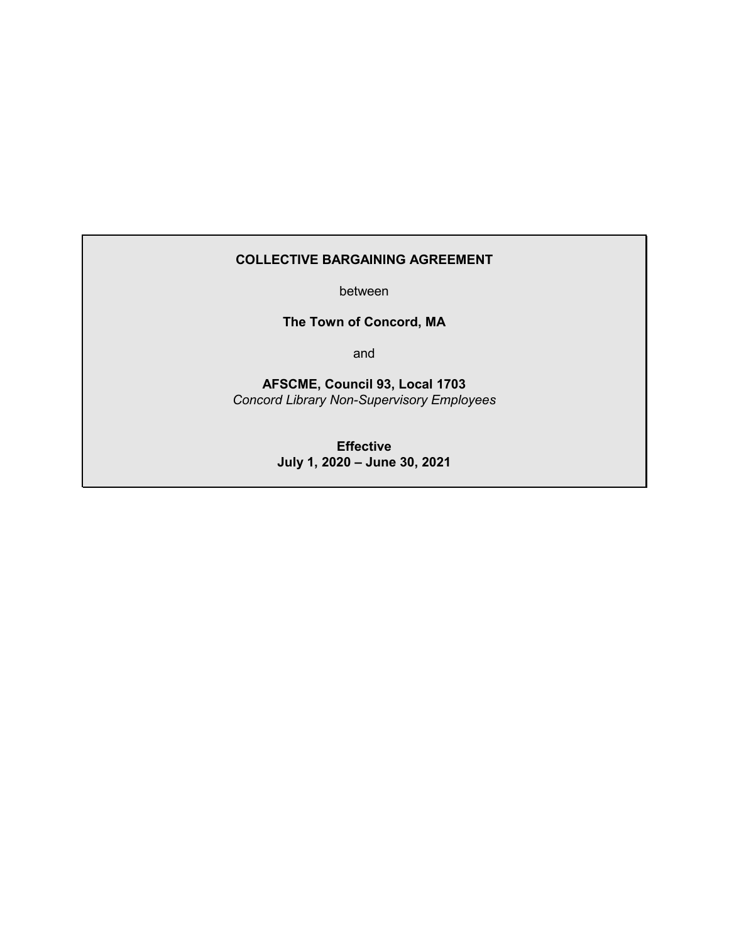#### **COLLECTIVE BARGAINING AGREEMENT**

between

**The Town of Concord, MA**

and

**AFSCME, Council 93, Local 1703** *Concord Library Non-Supervisory Employees*

> **Effective July 1, 2020 – June 30, 2021**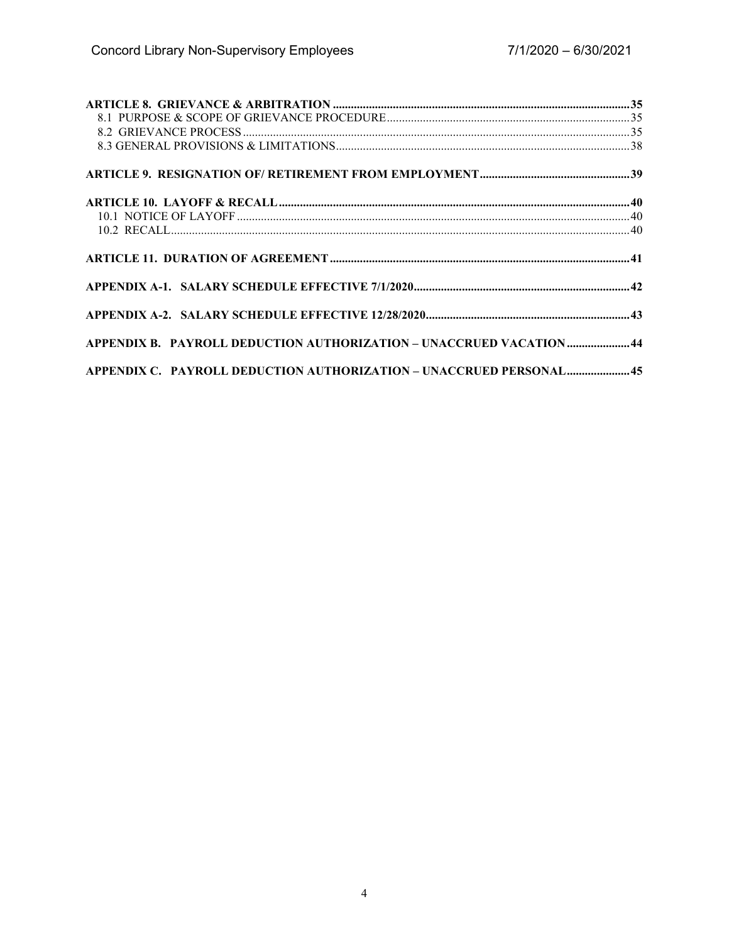| $\begin{tabular}{ll} \bf{ARTICLE 8.} \end{tabular} \begin{tabular}{ll} \bf{ARTICLE 8.} \end{tabular} \begin{tabular}{ll} \bf{ARTICLE 8.} \end{tabular} \begin{tabular}{ll} \bf{8.1} \end{tabular} \begin{tabular}{ll} \bf{1.3} \end{tabular} \begin{tabular}{ll} \bf{1.4} \end{tabular} \end{tabular} \begin{tabular}{ll} \bf{1.5} \end{tabular} \begin{tabular}{ll} \bf{2.5} \end{tabular} \begin{tabular}{ll} \bf{3.6} \end{tabular} \end{tabular} \begin{tabular}{ll} \bf$ |  |
|-------------------------------------------------------------------------------------------------------------------------------------------------------------------------------------------------------------------------------------------------------------------------------------------------------------------------------------------------------------------------------------------------------------------------------------------------------------------------------|--|
|                                                                                                                                                                                                                                                                                                                                                                                                                                                                               |  |
|                                                                                                                                                                                                                                                                                                                                                                                                                                                                               |  |
|                                                                                                                                                                                                                                                                                                                                                                                                                                                                               |  |
|                                                                                                                                                                                                                                                                                                                                                                                                                                                                               |  |
|                                                                                                                                                                                                                                                                                                                                                                                                                                                                               |  |
|                                                                                                                                                                                                                                                                                                                                                                                                                                                                               |  |
|                                                                                                                                                                                                                                                                                                                                                                                                                                                                               |  |
|                                                                                                                                                                                                                                                                                                                                                                                                                                                                               |  |
|                                                                                                                                                                                                                                                                                                                                                                                                                                                                               |  |
|                                                                                                                                                                                                                                                                                                                                                                                                                                                                               |  |
| APPENDIX B. PAYROLL DEDUCTION AUTHORIZATION - UNACCRUED VACATION  44                                                                                                                                                                                                                                                                                                                                                                                                          |  |
| APPENDIX C. PAYROLL DEDUCTION AUTHORIZATION - UNACCRUED PERSONAL45                                                                                                                                                                                                                                                                                                                                                                                                            |  |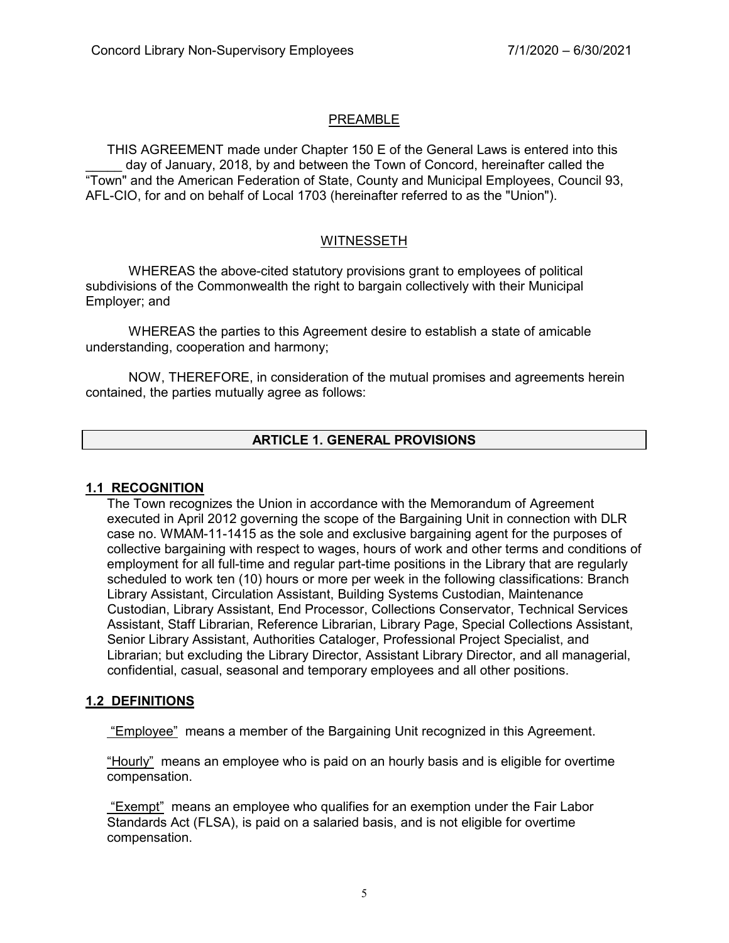## PREAMBLE

THIS AGREEMENT made under Chapter 150 E of the General Laws is entered into this day of January, 2018, by and between the Town of Concord, hereinafter called the "Town" and the American Federation of State, County and Municipal Employees, Council 93, AFL-CIO, for and on behalf of Local 1703 (hereinafter referred to as the "Union").

# WITNESSETH

WHEREAS the above-cited statutory provisions grant to employees of political subdivisions of the Commonwealth the right to bargain collectively with their Municipal Employer; and

WHEREAS the parties to this Agreement desire to establish a state of amicable understanding, cooperation and harmony;

NOW, THEREFORE, in consideration of the mutual promises and agreements herein contained, the parties mutually agree as follows:

# **ARTICLE 1. GENERAL PROVISIONS**

#### **1.1 RECOGNITION**

The Town recognizes the Union in accordance with the Memorandum of Agreement executed in April 2012 governing the scope of the Bargaining Unit in connection with DLR case no. WMAM-11-1415 as the sole and exclusive bargaining agent for the purposes of collective bargaining with respect to wages, hours of work and other terms and conditions of employment for all full-time and regular part-time positions in the Library that are regularly scheduled to work ten (10) hours or more per week in the following classifications: Branch Library Assistant, Circulation Assistant, Building Systems Custodian, Maintenance Custodian, Library Assistant, End Processor, Collections Conservator, Technical Services Assistant, Staff Librarian, Reference Librarian, Library Page, Special Collections Assistant, Senior Library Assistant, Authorities Cataloger, Professional Project Specialist, and Librarian; but excluding the Library Director, Assistant Library Director, and all managerial, confidential, casual, seasonal and temporary employees and all other positions.

#### **1.2 DEFINITIONS**

"Employee" means a member of the Bargaining Unit recognized in this Agreement.

"Hourly" means an employee who is paid on an hourly basis and is eligible for overtime compensation.

"Exempt" means an employee who qualifies for an exemption under the Fair Labor Standards Act (FLSA), is paid on a salaried basis, and is not eligible for overtime compensation.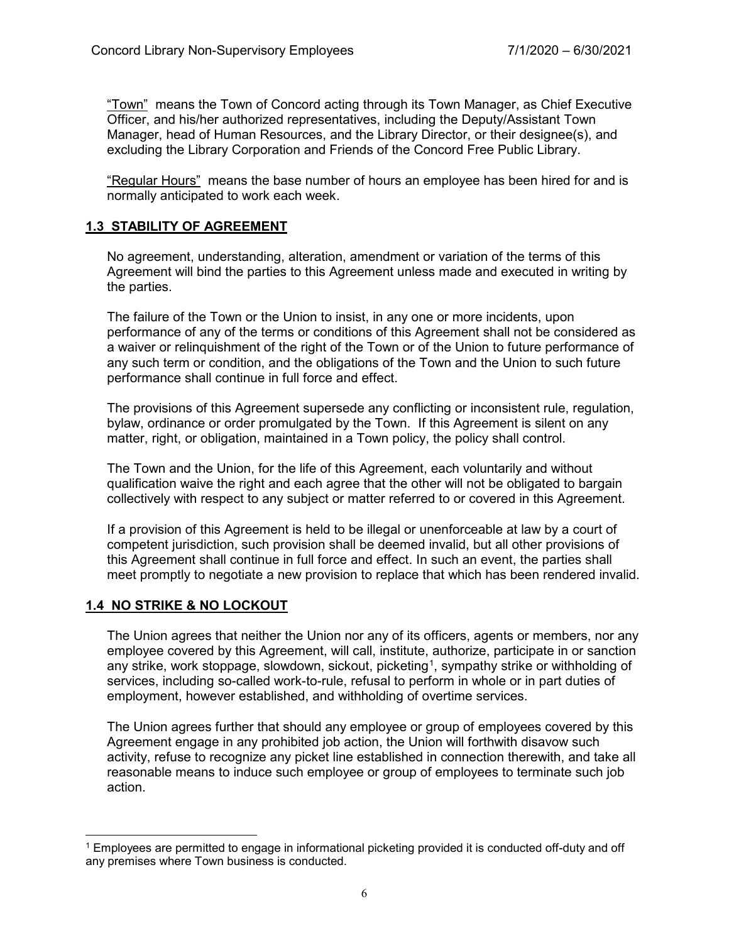"Town" means the Town of Concord acting through its Town Manager, as Chief Executive Officer, and his/her authorized representatives, including the Deputy/Assistant Town Manager, head of Human Resources, and the Library Director, or their designee(s), and excluding the Library Corporation and Friends of the Concord Free Public Library.

"Regular Hours" means the base number of hours an employee has been hired for and is normally anticipated to work each week.

#### **1.3 STABILITY OF AGREEMENT**

No agreement, understanding, alteration, amendment or variation of the terms of this Agreement will bind the parties to this Agreement unless made and executed in writing by the parties.

The failure of the Town or the Union to insist, in any one or more incidents, upon performance of any of the terms or conditions of this Agreement shall not be considered as a waiver or relinquishment of the right of the Town or of the Union to future performance of any such term or condition, and the obligations of the Town and the Union to such future performance shall continue in full force and effect.

The provisions of this Agreement supersede any conflicting or inconsistent rule, regulation, bylaw, ordinance or order promulgated by the Town. If this Agreement is silent on any matter, right, or obligation, maintained in a Town policy, the policy shall control.

The Town and the Union, for the life of this Agreement, each voluntarily and without qualification waive the right and each agree that the other will not be obligated to bargain collectively with respect to any subject or matter referred to or covered in this Agreement.

If a provision of this Agreement is held to be illegal or unenforceable at law by a court of competent jurisdiction, such provision shall be deemed invalid, but all other provisions of this Agreement shall continue in full force and effect. In such an event, the parties shall meet promptly to negotiate a new provision to replace that which has been rendered invalid.

#### **1.4 NO STRIKE & NO LOCKOUT**

 $\overline{a}$ 

The Union agrees that neither the Union nor any of its officers, agents or members, nor any employee covered by this Agreement, will call, institute, authorize, participate in or sanction any strike, work stoppage, slowdown, sickout, picketing<sup>[1](#page-10-0)</sup>, sympathy strike or withholding of services, including so-called work-to-rule, refusal to perform in whole or in part duties of employment, however established, and withholding of overtime services.

The Union agrees further that should any employee or group of employees covered by this Agreement engage in any prohibited job action, the Union will forthwith disavow such activity, refuse to recognize any picket line established in connection therewith, and take all reasonable means to induce such employee or group of employees to terminate such job action.

<span id="page-10-0"></span><sup>1</sup> Employees are permitted to engage in informational picketing provided it is conducted off-duty and off any premises where Town business is conducted.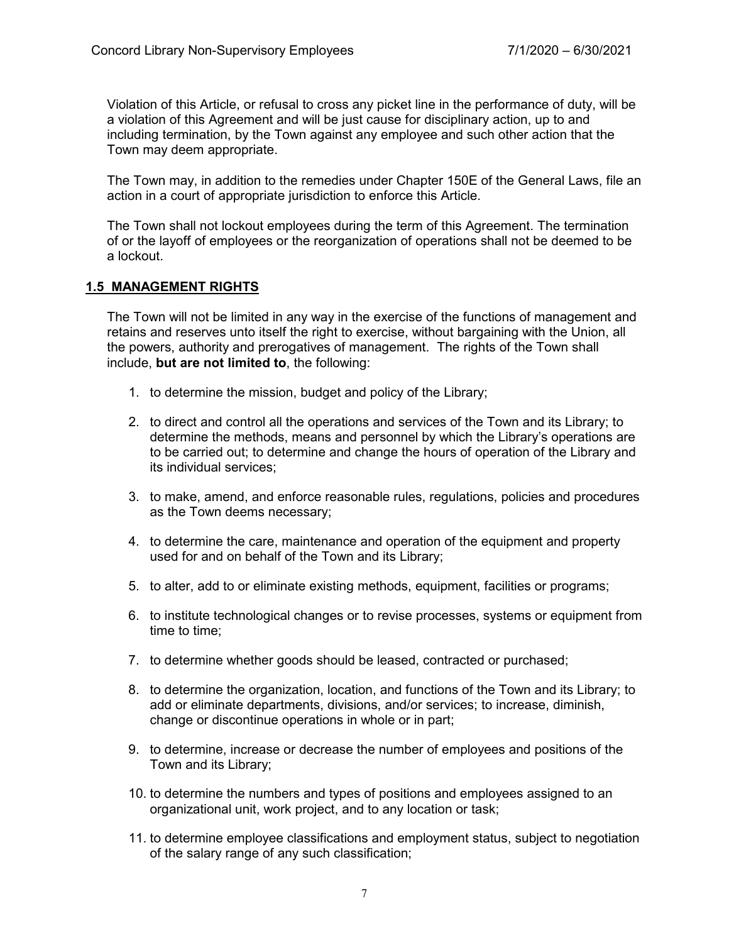Violation of this Article, or refusal to cross any picket line in the performance of duty, will be a violation of this Agreement and will be just cause for disciplinary action, up to and including termination, by the Town against any employee and such other action that the Town may deem appropriate.

The Town may, in addition to the remedies under Chapter 150E of the General Laws, file an action in a court of appropriate jurisdiction to enforce this Article.

The Town shall not lockout employees during the term of this Agreement. The termination of or the layoff of employees or the reorganization of operations shall not be deemed to be a lockout.

#### **1.5 MANAGEMENT RIGHTS**

The Town will not be limited in any way in the exercise of the functions of management and retains and reserves unto itself the right to exercise, without bargaining with the Union, all the powers, authority and prerogatives of management. The rights of the Town shall include, **but are not limited to**, the following:

- 1. to determine the mission, budget and policy of the Library;
- 2. to direct and control all the operations and services of the Town and its Library; to determine the methods, means and personnel by which the Library's operations are to be carried out; to determine and change the hours of operation of the Library and its individual services;
- 3. to make, amend, and enforce reasonable rules, regulations, policies and procedures as the Town deems necessary;
- 4. to determine the care, maintenance and operation of the equipment and property used for and on behalf of the Town and its Library;
- 5. to alter, add to or eliminate existing methods, equipment, facilities or programs;
- 6. to institute technological changes or to revise processes, systems or equipment from time to time;
- 7. to determine whether goods should be leased, contracted or purchased;
- 8. to determine the organization, location, and functions of the Town and its Library; to add or eliminate departments, divisions, and/or services; to increase, diminish, change or discontinue operations in whole or in part;
- 9. to determine, increase or decrease the number of employees and positions of the Town and its Library;
- 10. to determine the numbers and types of positions and employees assigned to an organizational unit, work project, and to any location or task;
- 11. to determine employee classifications and employment status, subject to negotiation of the salary range of any such classification;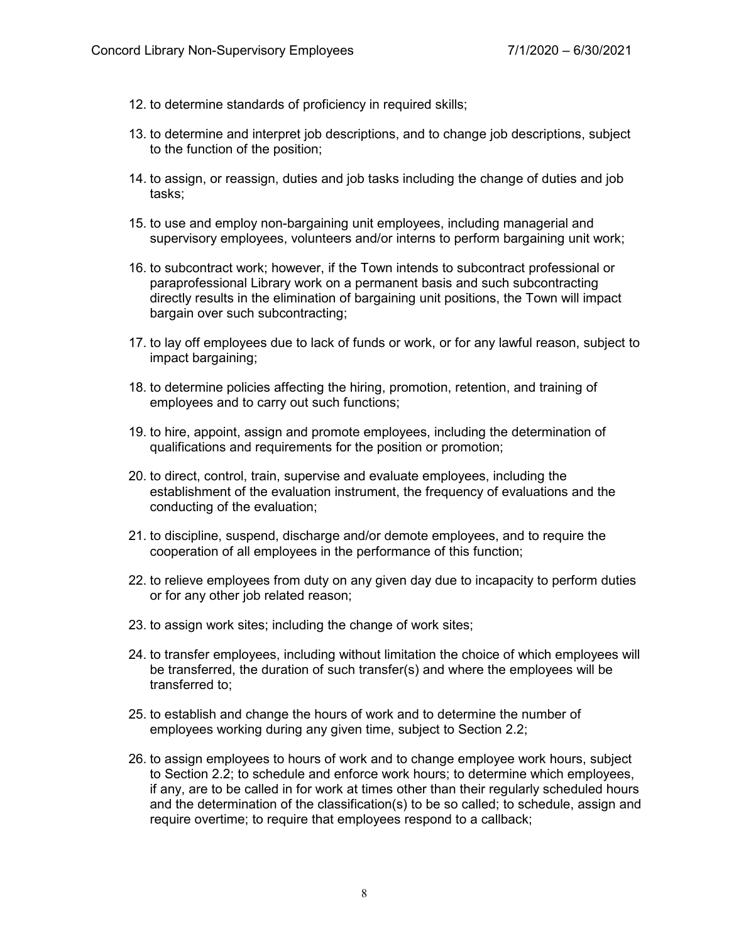- 12. to determine standards of proficiency in required skills;
- 13. to determine and interpret job descriptions, and to change job descriptions, subject to the function of the position;
- 14. to assign, or reassign, duties and job tasks including the change of duties and job tasks;
- 15. to use and employ non-bargaining unit employees, including managerial and supervisory employees, volunteers and/or interns to perform bargaining unit work;
- 16. to subcontract work; however, if the Town intends to subcontract professional or paraprofessional Library work on a permanent basis and such subcontracting directly results in the elimination of bargaining unit positions, the Town will impact bargain over such subcontracting;
- 17. to lay off employees due to lack of funds or work, or for any lawful reason, subject to impact bargaining;
- 18. to determine policies affecting the hiring, promotion, retention, and training of employees and to carry out such functions;
- 19. to hire, appoint, assign and promote employees, including the determination of qualifications and requirements for the position or promotion;
- 20. to direct, control, train, supervise and evaluate employees, including the establishment of the evaluation instrument, the frequency of evaluations and the conducting of the evaluation;
- 21. to discipline, suspend, discharge and/or demote employees, and to require the cooperation of all employees in the performance of this function;
- 22. to relieve employees from duty on any given day due to incapacity to perform duties or for any other job related reason;
- 23. to assign work sites; including the change of work sites;
- 24. to transfer employees, including without limitation the choice of which employees will be transferred, the duration of such transfer(s) and where the employees will be transferred to;
- 25. to establish and change the hours of work and to determine the number of employees working during any given time, subject to Section 2.2;
- 26. to assign employees to hours of work and to change employee work hours, subject to Section 2.2; to schedule and enforce work hours; to determine which employees, if any, are to be called in for work at times other than their regularly scheduled hours and the determination of the classification(s) to be so called; to schedule, assign and require overtime; to require that employees respond to a callback;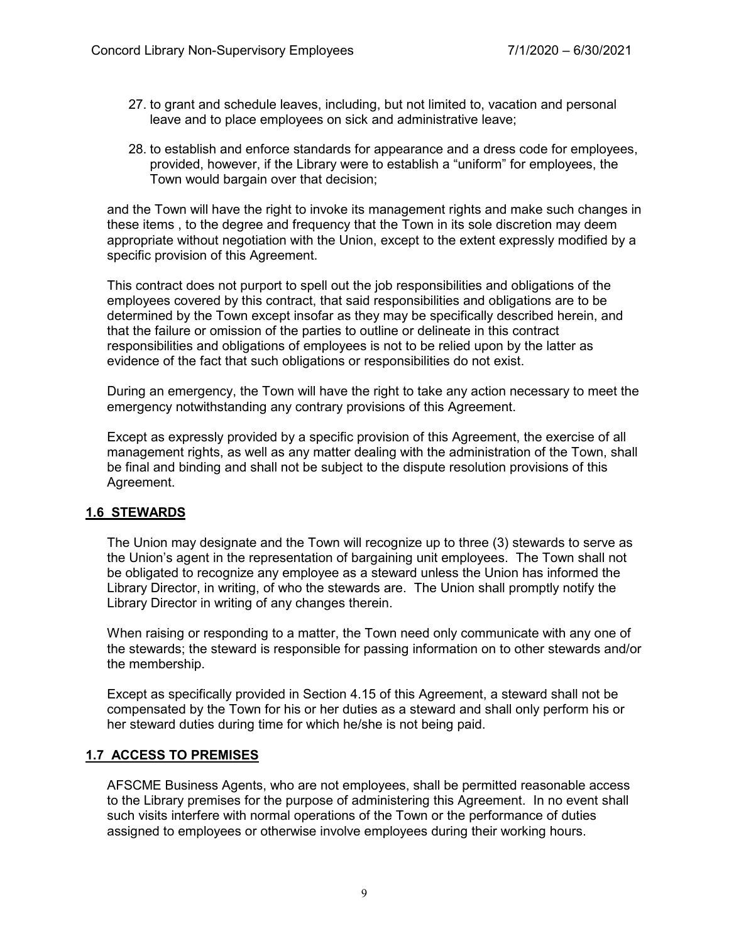- 27. to grant and schedule leaves, including, but not limited to, vacation and personal leave and to place employees on sick and administrative leave;
- 28. to establish and enforce standards for appearance and a dress code for employees, provided, however, if the Library were to establish a "uniform" for employees, the Town would bargain over that decision;

and the Town will have the right to invoke its management rights and make such changes in these items , to the degree and frequency that the Town in its sole discretion may deem appropriate without negotiation with the Union, except to the extent expressly modified by a specific provision of this Agreement.

This contract does not purport to spell out the job responsibilities and obligations of the employees covered by this contract, that said responsibilities and obligations are to be determined by the Town except insofar as they may be specifically described herein, and that the failure or omission of the parties to outline or delineate in this contract responsibilities and obligations of employees is not to be relied upon by the latter as evidence of the fact that such obligations or responsibilities do not exist.

During an emergency, the Town will have the right to take any action necessary to meet the emergency notwithstanding any contrary provisions of this Agreement.

Except as expressly provided by a specific provision of this Agreement, the exercise of all management rights, as well as any matter dealing with the administration of the Town, shall be final and binding and shall not be subject to the dispute resolution provisions of this Agreement.

# **1.6 STEWARDS**

The Union may designate and the Town will recognize up to three (3) stewards to serve as the Union's agent in the representation of bargaining unit employees. The Town shall not be obligated to recognize any employee as a steward unless the Union has informed the Library Director, in writing, of who the stewards are. The Union shall promptly notify the Library Director in writing of any changes therein.

When raising or responding to a matter, the Town need only communicate with any one of the stewards; the steward is responsible for passing information on to other stewards and/or the membership.

Except as specifically provided in Section 4.15 of this Agreement, a steward shall not be compensated by the Town for his or her duties as a steward and shall only perform his or her steward duties during time for which he/she is not being paid.

#### **1.7 ACCESS TO PREMISES**

AFSCME Business Agents, who are not employees, shall be permitted reasonable access to the Library premises for the purpose of administering this Agreement. In no event shall such visits interfere with normal operations of the Town or the performance of duties assigned to employees or otherwise involve employees during their working hours.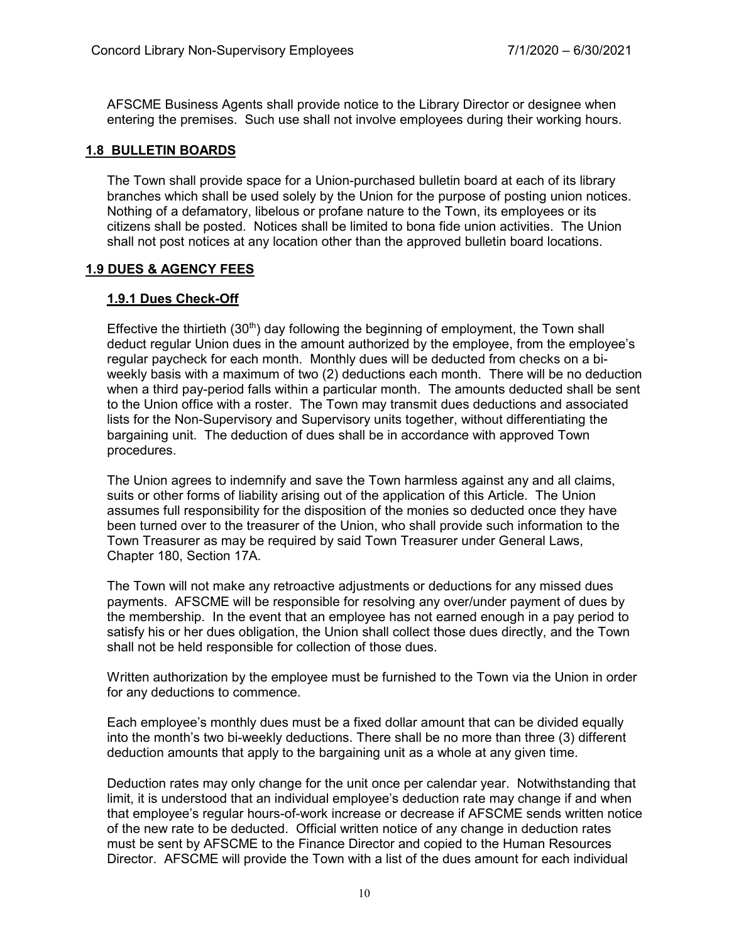AFSCME Business Agents shall provide notice to the Library Director or designee when entering the premises. Such use shall not involve employees during their working hours.

# **1.8 BULLETIN BOARDS**

The Town shall provide space for a Union-purchased bulletin board at each of its library branches which shall be used solely by the Union for the purpose of posting union notices. Nothing of a defamatory, libelous or profane nature to the Town, its employees or its citizens shall be posted. Notices shall be limited to bona fide union activities. The Union shall not post notices at any location other than the approved bulletin board locations.

# **1.9 DUES & AGENCY FEES**

# **1.9.1 Dues Check-Off**

Effective the thirtieth  $(30<sup>th</sup>)$  day following the beginning of employment, the Town shall deduct regular Union dues in the amount authorized by the employee, from the employee's regular paycheck for each month. Monthly dues will be deducted from checks on a biweekly basis with a maximum of two (2) deductions each month. There will be no deduction when a third pay-period falls within a particular month. The amounts deducted shall be sent to the Union office with a roster. The Town may transmit dues deductions and associated lists for the Non-Supervisory and Supervisory units together, without differentiating the bargaining unit. The deduction of dues shall be in accordance with approved Town procedures.

The Union agrees to indemnify and save the Town harmless against any and all claims, suits or other forms of liability arising out of the application of this Article. The Union assumes full responsibility for the disposition of the monies so deducted once they have been turned over to the treasurer of the Union, who shall provide such information to the Town Treasurer as may be required by said Town Treasurer under General Laws, Chapter 180, Section 17A.

The Town will not make any retroactive adjustments or deductions for any missed dues payments. AFSCME will be responsible for resolving any over/under payment of dues by the membership. In the event that an employee has not earned enough in a pay period to satisfy his or her dues obligation, the Union shall collect those dues directly, and the Town shall not be held responsible for collection of those dues.

Written authorization by the employee must be furnished to the Town via the Union in order for any deductions to commence.

Each employee's monthly dues must be a fixed dollar amount that can be divided equally into the month's two bi-weekly deductions. There shall be no more than three (3) different deduction amounts that apply to the bargaining unit as a whole at any given time.

Deduction rates may only change for the unit once per calendar year. Notwithstanding that limit, it is understood that an individual employee's deduction rate may change if and when that employee's regular hours-of-work increase or decrease if AFSCME sends written notice of the new rate to be deducted. Official written notice of any change in deduction rates must be sent by AFSCME to the Finance Director and copied to the Human Resources Director. AFSCME will provide the Town with a list of the dues amount for each individual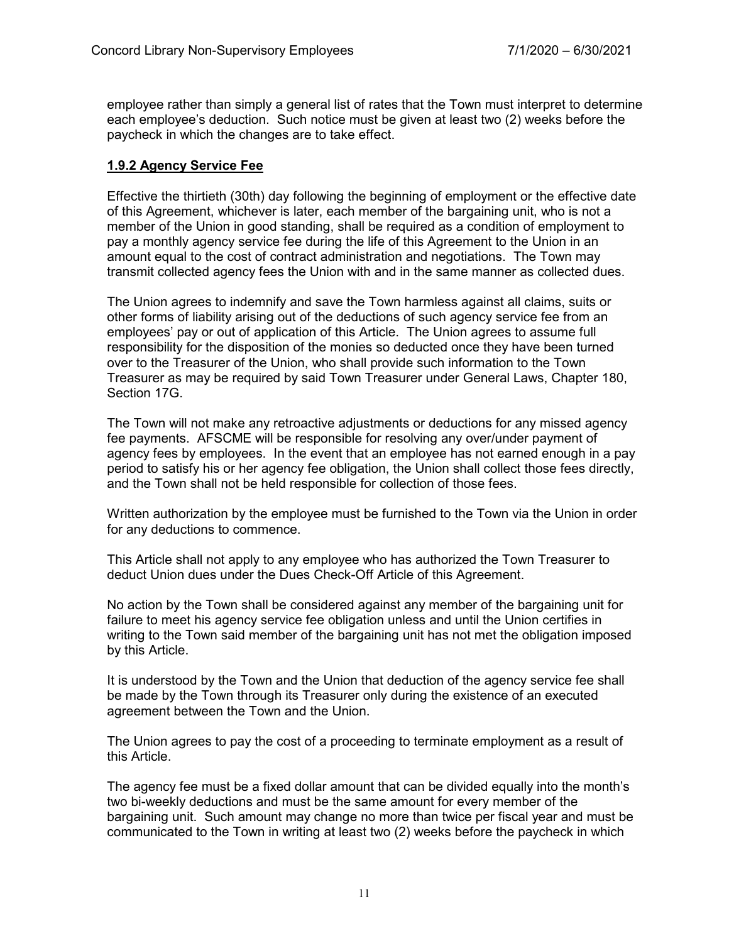employee rather than simply a general list of rates that the Town must interpret to determine each employee's deduction. Such notice must be given at least two (2) weeks before the paycheck in which the changes are to take effect.

# **1.9.2 Agency Service Fee**

Effective the thirtieth (30th) day following the beginning of employment or the effective date of this Agreement, whichever is later, each member of the bargaining unit, who is not a member of the Union in good standing, shall be required as a condition of employment to pay a monthly agency service fee during the life of this Agreement to the Union in an amount equal to the cost of contract administration and negotiations. The Town may transmit collected agency fees the Union with and in the same manner as collected dues.

The Union agrees to indemnify and save the Town harmless against all claims, suits or other forms of liability arising out of the deductions of such agency service fee from an employees' pay or out of application of this Article. The Union agrees to assume full responsibility for the disposition of the monies so deducted once they have been turned over to the Treasurer of the Union, who shall provide such information to the Town Treasurer as may be required by said Town Treasurer under General Laws, Chapter 180, Section 17G.

The Town will not make any retroactive adjustments or deductions for any missed agency fee payments. AFSCME will be responsible for resolving any over/under payment of agency fees by employees. In the event that an employee has not earned enough in a pay period to satisfy his or her agency fee obligation, the Union shall collect those fees directly, and the Town shall not be held responsible for collection of those fees.

Written authorization by the employee must be furnished to the Town via the Union in order for any deductions to commence.

This Article shall not apply to any employee who has authorized the Town Treasurer to deduct Union dues under the Dues Check-Off Article of this Agreement.

No action by the Town shall be considered against any member of the bargaining unit for failure to meet his agency service fee obligation unless and until the Union certifies in writing to the Town said member of the bargaining unit has not met the obligation imposed by this Article.

It is understood by the Town and the Union that deduction of the agency service fee shall be made by the Town through its Treasurer only during the existence of an executed agreement between the Town and the Union.

The Union agrees to pay the cost of a proceeding to terminate employment as a result of this Article.

The agency fee must be a fixed dollar amount that can be divided equally into the month's two bi-weekly deductions and must be the same amount for every member of the bargaining unit. Such amount may change no more than twice per fiscal year and must be communicated to the Town in writing at least two (2) weeks before the paycheck in which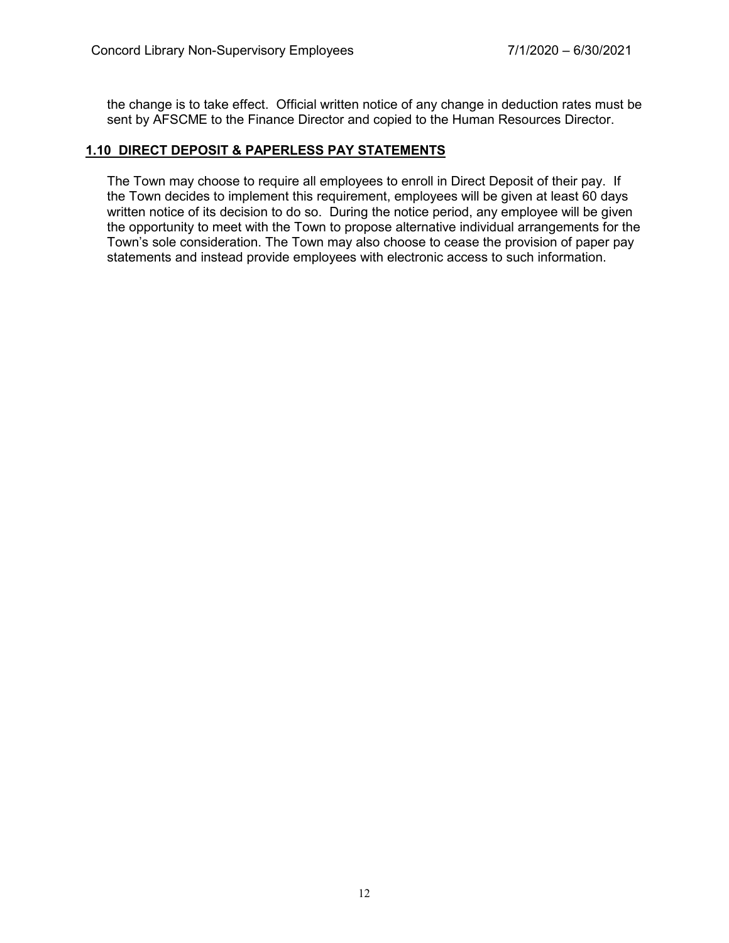the change is to take effect. Official written notice of any change in deduction rates must be sent by AFSCME to the Finance Director and copied to the Human Resources Director.

#### **1.10 DIRECT DEPOSIT & PAPERLESS PAY STATEMENTS**

The Town may choose to require all employees to enroll in Direct Deposit of their pay. If the Town decides to implement this requirement, employees will be given at least 60 days written notice of its decision to do so. During the notice period, any employee will be given the opportunity to meet with the Town to propose alternative individual arrangements for the Town's sole consideration. The Town may also choose to cease the provision of paper pay statements and instead provide employees with electronic access to such information.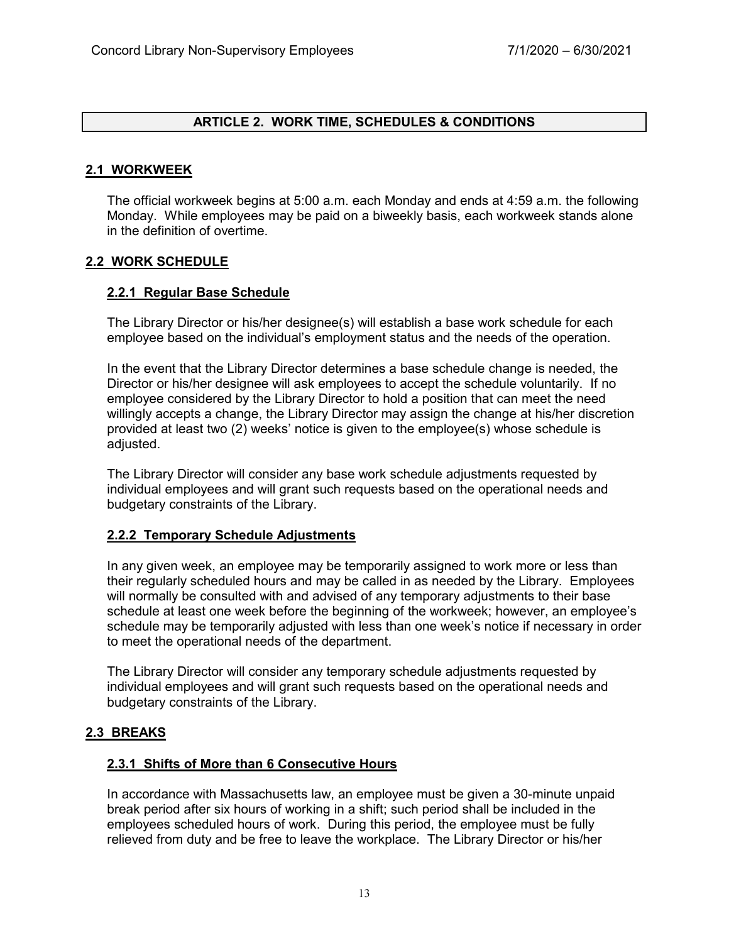## **ARTICLE 2. WORK TIME, SCHEDULES & CONDITIONS**

## **2.1 WORKWEEK**

The official workweek begins at 5:00 a.m. each Monday and ends at 4:59 a.m. the following Monday. While employees may be paid on a biweekly basis, each workweek stands alone in the definition of overtime.

#### **2.2 WORK SCHEDULE**

## **2.2.1 Regular Base Schedule**

The Library Director or his/her designee(s) will establish a base work schedule for each employee based on the individual's employment status and the needs of the operation.

In the event that the Library Director determines a base schedule change is needed, the Director or his/her designee will ask employees to accept the schedule voluntarily. If no employee considered by the Library Director to hold a position that can meet the need willingly accepts a change, the Library Director may assign the change at his/her discretion provided at least two (2) weeks' notice is given to the employee(s) whose schedule is adjusted.

The Library Director will consider any base work schedule adjustments requested by individual employees and will grant such requests based on the operational needs and budgetary constraints of the Library.

#### **2.2.2 Temporary Schedule Adjustments**

In any given week, an employee may be temporarily assigned to work more or less than their regularly scheduled hours and may be called in as needed by the Library. Employees will normally be consulted with and advised of any temporary adjustments to their base schedule at least one week before the beginning of the workweek; however, an employee's schedule may be temporarily adjusted with less than one week's notice if necessary in order to meet the operational needs of the department.

The Library Director will consider any temporary schedule adjustments requested by individual employees and will grant such requests based on the operational needs and budgetary constraints of the Library.

# **2.3 BREAKS**

#### **2.3.1 Shifts of More than 6 Consecutive Hours**

In accordance with Massachusetts law, an employee must be given a 30-minute unpaid break period after six hours of working in a shift; such period shall be included in the employees scheduled hours of work. During this period, the employee must be fully relieved from duty and be free to leave the workplace. The Library Director or his/her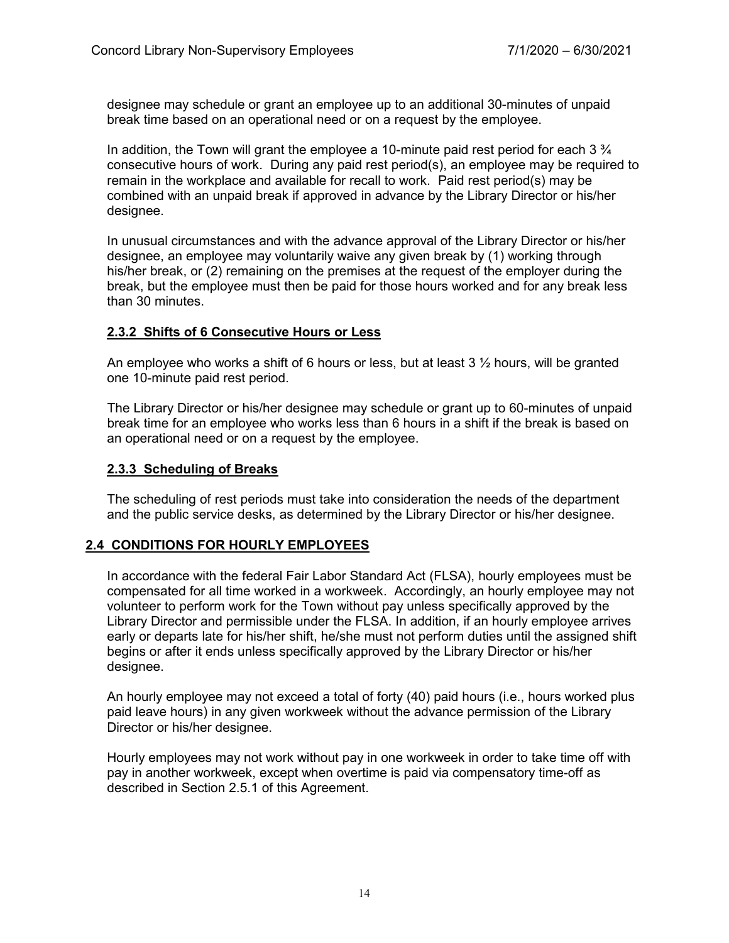designee may schedule or grant an employee up to an additional 30-minutes of unpaid break time based on an operational need or on a request by the employee.

In addition, the Town will grant the employee a 10-minute paid rest period for each  $3\frac{3}{4}$ consecutive hours of work. During any paid rest period(s), an employee may be required to remain in the workplace and available for recall to work. Paid rest period(s) may be combined with an unpaid break if approved in advance by the Library Director or his/her designee.

In unusual circumstances and with the advance approval of the Library Director or his/her designee, an employee may voluntarily waive any given break by (1) working through his/her break, or (2) remaining on the premises at the request of the employer during the break, but the employee must then be paid for those hours worked and for any break less than 30 minutes.

## **2.3.2 Shifts of 6 Consecutive Hours or Less**

An employee who works a shift of 6 hours or less, but at least  $3 \frac{1}{2}$  hours, will be granted one 10-minute paid rest period.

The Library Director or his/her designee may schedule or grant up to 60-minutes of unpaid break time for an employee who works less than 6 hours in a shift if the break is based on an operational need or on a request by the employee.

## **2.3.3 Scheduling of Breaks**

The scheduling of rest periods must take into consideration the needs of the department and the public service desks, as determined by the Library Director or his/her designee.

# **2.4 CONDITIONS FOR HOURLY EMPLOYEES**

In accordance with the federal Fair Labor Standard Act (FLSA), hourly employees must be compensated for all time worked in a workweek. Accordingly, an hourly employee may not volunteer to perform work for the Town without pay unless specifically approved by the Library Director and permissible under the FLSA. In addition, if an hourly employee arrives early or departs late for his/her shift, he/she must not perform duties until the assigned shift begins or after it ends unless specifically approved by the Library Director or his/her designee.

An hourly employee may not exceed a total of forty (40) paid hours (i.e., hours worked plus paid leave hours) in any given workweek without the advance permission of the Library Director or his/her designee.

Hourly employees may not work without pay in one workweek in order to take time off with pay in another workweek, except when overtime is paid via compensatory time-off as described in Section 2.5.1 of this Agreement.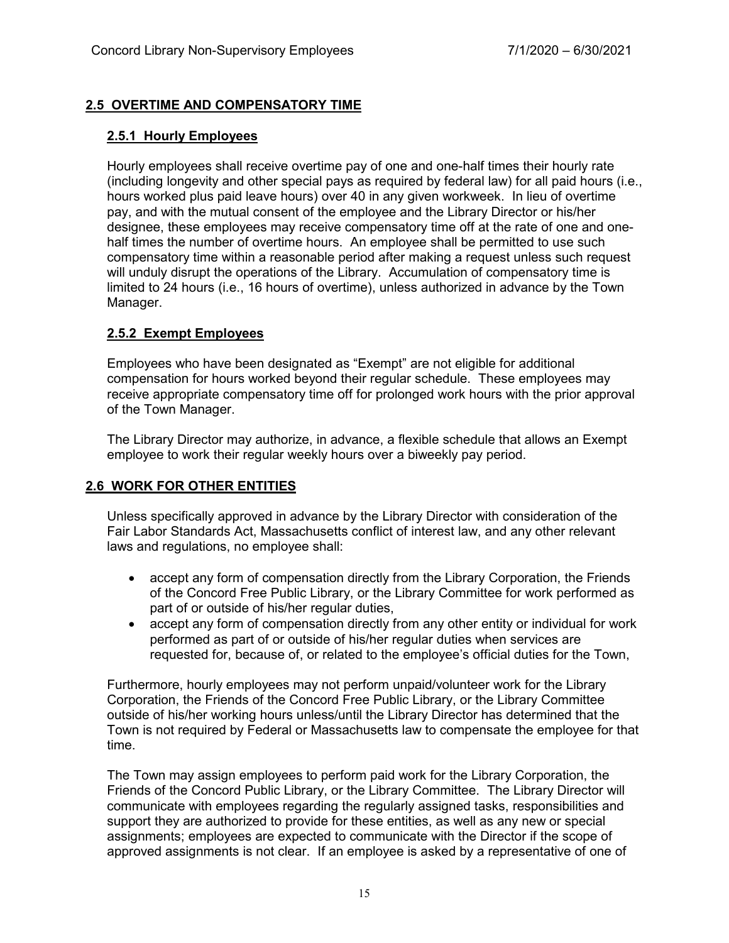# **2.5 OVERTIME AND COMPENSATORY TIME**

## **2.5.1 Hourly Employees**

Hourly employees shall receive overtime pay of one and one-half times their hourly rate (including longevity and other special pays as required by federal law) for all paid hours (i.e., hours worked plus paid leave hours) over 40 in any given workweek. In lieu of overtime pay, and with the mutual consent of the employee and the Library Director or his/her designee, these employees may receive compensatory time off at the rate of one and onehalf times the number of overtime hours. An employee shall be permitted to use such compensatory time within a reasonable period after making a request unless such request will unduly disrupt the operations of the Library. Accumulation of compensatory time is limited to 24 hours (i.e., 16 hours of overtime), unless authorized in advance by the Town Manager.

# **2.5.2 Exempt Employees**

Employees who have been designated as "Exempt" are not eligible for additional compensation for hours worked beyond their regular schedule. These employees may receive appropriate compensatory time off for prolonged work hours with the prior approval of the Town Manager.

The Library Director may authorize, in advance, a flexible schedule that allows an Exempt employee to work their regular weekly hours over a biweekly pay period.

# **2.6 WORK FOR OTHER ENTITIES**

Unless specifically approved in advance by the Library Director with consideration of the Fair Labor Standards Act, Massachusetts conflict of interest law, and any other relevant laws and regulations, no employee shall:

- accept any form of compensation directly from the Library Corporation, the Friends of the Concord Free Public Library, or the Library Committee for work performed as part of or outside of his/her regular duties,
- accept any form of compensation directly from any other entity or individual for work performed as part of or outside of his/her regular duties when services are requested for, because of, or related to the employee's official duties for the Town,

Furthermore, hourly employees may not perform unpaid/volunteer work for the Library Corporation, the Friends of the Concord Free Public Library, or the Library Committee outside of his/her working hours unless/until the Library Director has determined that the Town is not required by Federal or Massachusetts law to compensate the employee for that time.

The Town may assign employees to perform paid work for the Library Corporation, the Friends of the Concord Public Library, or the Library Committee. The Library Director will communicate with employees regarding the regularly assigned tasks, responsibilities and support they are authorized to provide for these entities, as well as any new or special assignments; employees are expected to communicate with the Director if the scope of approved assignments is not clear. If an employee is asked by a representative of one of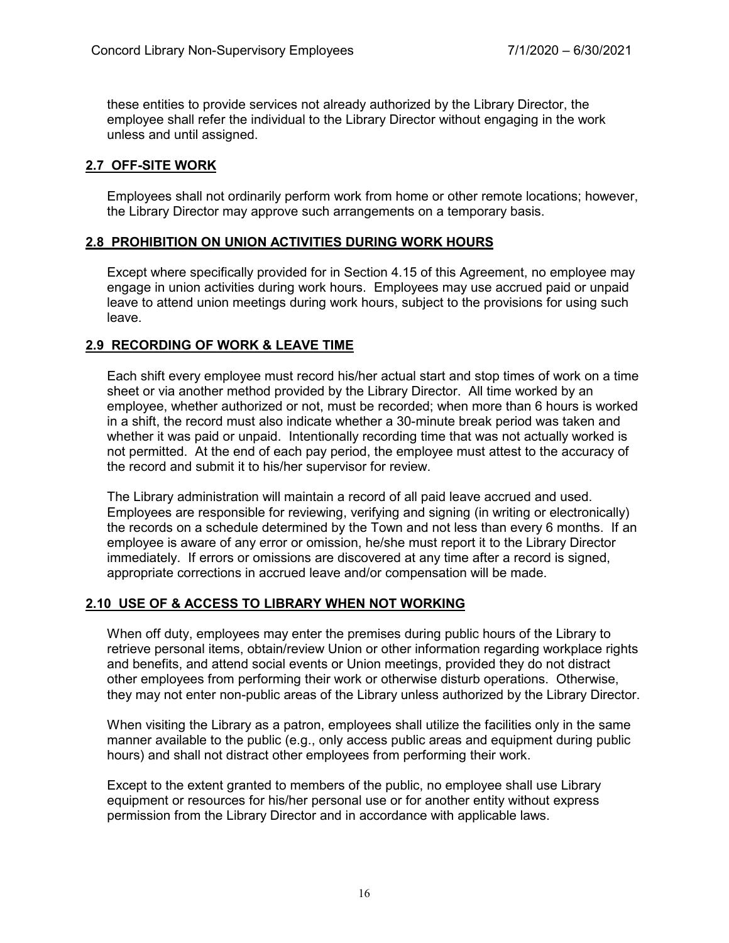these entities to provide services not already authorized by the Library Director, the employee shall refer the individual to the Library Director without engaging in the work unless and until assigned.

# **2.7 OFF-SITE WORK**

Employees shall not ordinarily perform work from home or other remote locations; however, the Library Director may approve such arrangements on a temporary basis.

# **2.8 PROHIBITION ON UNION ACTIVITIES DURING WORK HOURS**

Except where specifically provided for in Section 4.15 of this Agreement, no employee may engage in union activities during work hours. Employees may use accrued paid or unpaid leave to attend union meetings during work hours, subject to the provisions for using such leave.

# **2.9 RECORDING OF WORK & LEAVE TIME**

Each shift every employee must record his/her actual start and stop times of work on a time sheet or via another method provided by the Library Director. All time worked by an employee, whether authorized or not, must be recorded; when more than 6 hours is worked in a shift, the record must also indicate whether a 30-minute break period was taken and whether it was paid or unpaid. Intentionally recording time that was not actually worked is not permitted. At the end of each pay period, the employee must attest to the accuracy of the record and submit it to his/her supervisor for review.

The Library administration will maintain a record of all paid leave accrued and used. Employees are responsible for reviewing, verifying and signing (in writing or electronically) the records on a schedule determined by the Town and not less than every 6 months. If an employee is aware of any error or omission, he/she must report it to the Library Director immediately. If errors or omissions are discovered at any time after a record is signed, appropriate corrections in accrued leave and/or compensation will be made.

# **2.10 USE OF & ACCESS TO LIBRARY WHEN NOT WORKING**

When off duty, employees may enter the premises during public hours of the Library to retrieve personal items, obtain/review Union or other information regarding workplace rights and benefits, and attend social events or Union meetings, provided they do not distract other employees from performing their work or otherwise disturb operations. Otherwise, they may not enter non-public areas of the Library unless authorized by the Library Director.

When visiting the Library as a patron, employees shall utilize the facilities only in the same manner available to the public (e.g., only access public areas and equipment during public hours) and shall not distract other employees from performing their work.

Except to the extent granted to members of the public, no employee shall use Library equipment or resources for his/her personal use or for another entity without express permission from the Library Director and in accordance with applicable laws.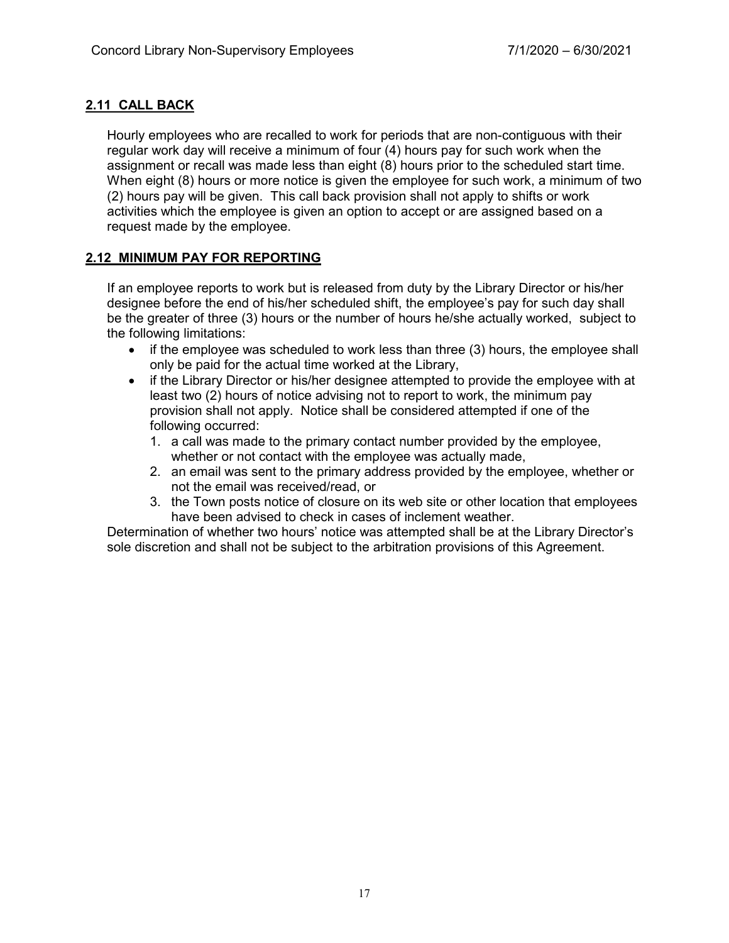# **2.11 CALL BACK**

Hourly employees who are recalled to work for periods that are non-contiguous with their regular work day will receive a minimum of four (4) hours pay for such work when the assignment or recall was made less than eight (8) hours prior to the scheduled start time. When eight (8) hours or more notice is given the employee for such work, a minimum of two (2) hours pay will be given. This call back provision shall not apply to shifts or work activities which the employee is given an option to accept or are assigned based on a request made by the employee.

# **2.12 MINIMUM PAY FOR REPORTING**

If an employee reports to work but is released from duty by the Library Director or his/her designee before the end of his/her scheduled shift, the employee's pay for such day shall be the greater of three (3) hours or the number of hours he/she actually worked, subject to the following limitations:

- if the employee was scheduled to work less than three (3) hours, the employee shall only be paid for the actual time worked at the Library,
- if the Library Director or his/her designee attempted to provide the employee with at least two (2) hours of notice advising not to report to work, the minimum pay provision shall not apply. Notice shall be considered attempted if one of the following occurred:
	- 1. a call was made to the primary contact number provided by the employee, whether or not contact with the employee was actually made,
	- 2. an email was sent to the primary address provided by the employee, whether or not the email was received/read, or
	- 3. the Town posts notice of closure on its web site or other location that employees have been advised to check in cases of inclement weather.

Determination of whether two hours' notice was attempted shall be at the Library Director's sole discretion and shall not be subject to the arbitration provisions of this Agreement.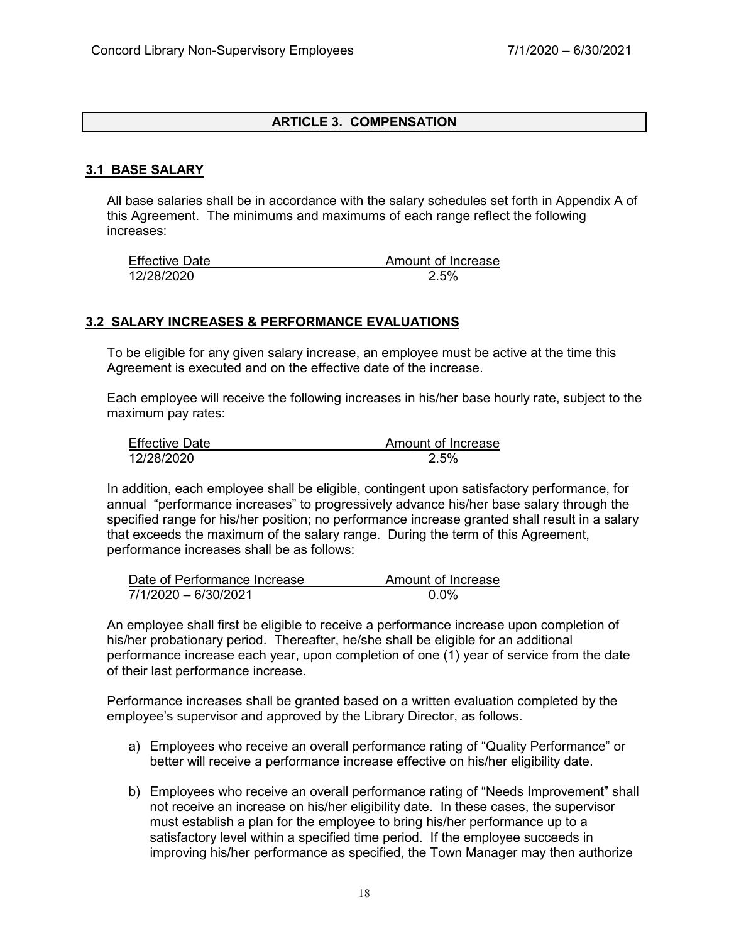## **ARTICLE 3. COMPENSATION**

## **3.1 BASE SALARY**

All base salaries shall be in accordance with the salary schedules set forth in Appendix A of this Agreement. The minimums and maximums of each range reflect the following increases:

| <b>Effective Date</b> | Amount of Increase |
|-----------------------|--------------------|
| 12/28/2020            | 2.5%               |

#### **3.2 SALARY INCREASES & PERFORMANCE EVALUATIONS**

To be eligible for any given salary increase, an employee must be active at the time this Agreement is executed and on the effective date of the increase.

Each employee will receive the following increases in his/her base hourly rate, subject to the maximum pay rates:

| <b>Effective Date</b> | Amount of Increase |
|-----------------------|--------------------|
| 12/28/2020            | 2.5%               |

In addition, each employee shall be eligible, contingent upon satisfactory performance, for annual "performance increases" to progressively advance his/her base salary through the specified range for his/her position; no performance increase granted shall result in a salary that exceeds the maximum of the salary range. During the term of this Agreement, performance increases shall be as follows:

| Date of Performance Increase | Amount of Increase |
|------------------------------|--------------------|
| 7/1/2020 - 6/30/2021         | 0.0%               |

An employee shall first be eligible to receive a performance increase upon completion of his/her probationary period. Thereafter, he/she shall be eligible for an additional performance increase each year, upon completion of one (1) year of service from the date of their last performance increase.

Performance increases shall be granted based on a written evaluation completed by the employee's supervisor and approved by the Library Director, as follows.

- a) Employees who receive an overall performance rating of "Quality Performance" or better will receive a performance increase effective on his/her eligibility date.
- b) Employees who receive an overall performance rating of "Needs Improvement" shall not receive an increase on his/her eligibility date. In these cases, the supervisor must establish a plan for the employee to bring his/her performance up to a satisfactory level within a specified time period. If the employee succeeds in improving his/her performance as specified, the Town Manager may then authorize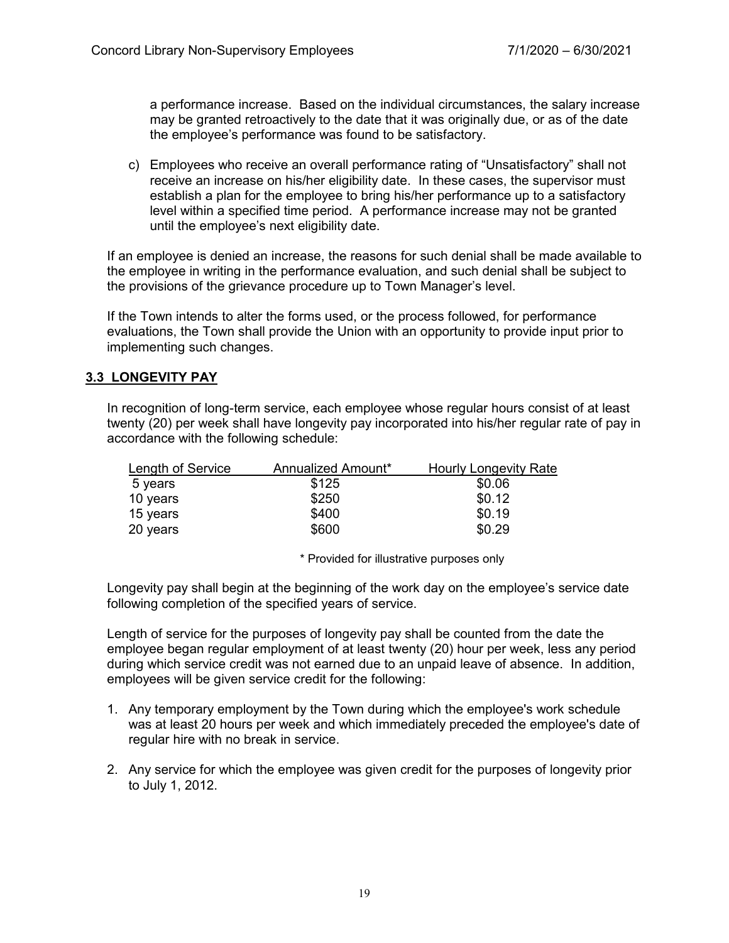a performance increase. Based on the individual circumstances, the salary increase may be granted retroactively to the date that it was originally due, or as of the date the employee's performance was found to be satisfactory.

c) Employees who receive an overall performance rating of "Unsatisfactory" shall not receive an increase on his/her eligibility date. In these cases, the supervisor must establish a plan for the employee to bring his/her performance up to a satisfactory level within a specified time period. A performance increase may not be granted until the employee's next eligibility date.

If an employee is denied an increase, the reasons for such denial shall be made available to the employee in writing in the performance evaluation, and such denial shall be subject to the provisions of the grievance procedure up to Town Manager's level.

If the Town intends to alter the forms used, or the process followed, for performance evaluations, the Town shall provide the Union with an opportunity to provide input prior to implementing such changes.

# **3.3 LONGEVITY PAY**

In recognition of long-term service, each employee whose regular hours consist of at least twenty (20) per week shall have longevity pay incorporated into his/her regular rate of pay in accordance with the following schedule:

| Length of Service | Annualized Amount* | <b>Hourly Longevity Rate</b> |
|-------------------|--------------------|------------------------------|
| 5 years           | \$125              | \$0.06                       |
| 10 years          | \$250              | \$0.12                       |
| 15 years          | \$400              | \$0.19                       |
| 20 years          | \$600              | \$0.29                       |

\* Provided for illustrative purposes only

Longevity pay shall begin at the beginning of the work day on the employee's service date following completion of the specified years of service.

Length of service for the purposes of longevity pay shall be counted from the date the employee began regular employment of at least twenty (20) hour per week, less any period during which service credit was not earned due to an unpaid leave of absence. In addition, employees will be given service credit for the following:

- 1. Any temporary employment by the Town during which the employee's work schedule was at least 20 hours per week and which immediately preceded the employee's date of regular hire with no break in service.
- 2. Any service for which the employee was given credit for the purposes of longevity prior to July 1, 2012.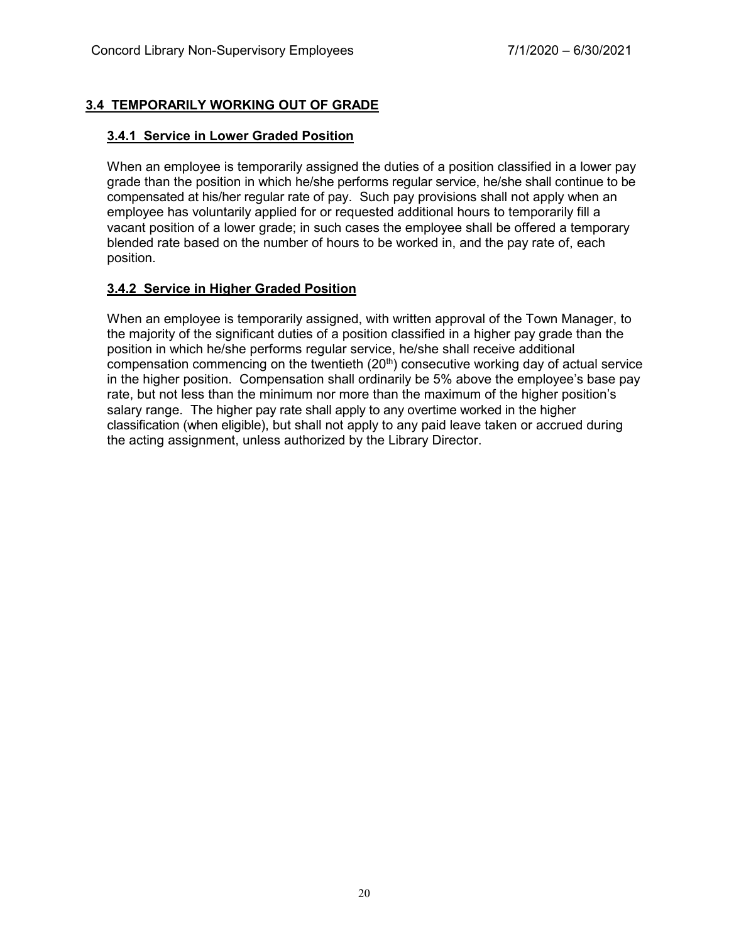# **3.4 TEMPORARILY WORKING OUT OF GRADE**

## **3.4.1 Service in Lower Graded Position**

When an employee is temporarily assigned the duties of a position classified in a lower pay grade than the position in which he/she performs regular service, he/she shall continue to be compensated at his/her regular rate of pay. Such pay provisions shall not apply when an employee has voluntarily applied for or requested additional hours to temporarily fill a vacant position of a lower grade; in such cases the employee shall be offered a temporary blended rate based on the number of hours to be worked in, and the pay rate of, each position.

# **3.4.2 Service in Higher Graded Position**

When an employee is temporarily assigned, with written approval of the Town Manager, to the majority of the significant duties of a position classified in a higher pay grade than the position in which he/she performs regular service, he/she shall receive additional compensation commencing on the twentieth  $(20<sup>th</sup>)$  consecutive working day of actual service in the higher position. Compensation shall ordinarily be 5% above the employee's base pay rate, but not less than the minimum nor more than the maximum of the higher position's salary range. The higher pay rate shall apply to any overtime worked in the higher classification (when eligible), but shall not apply to any paid leave taken or accrued during the acting assignment, unless authorized by the Library Director.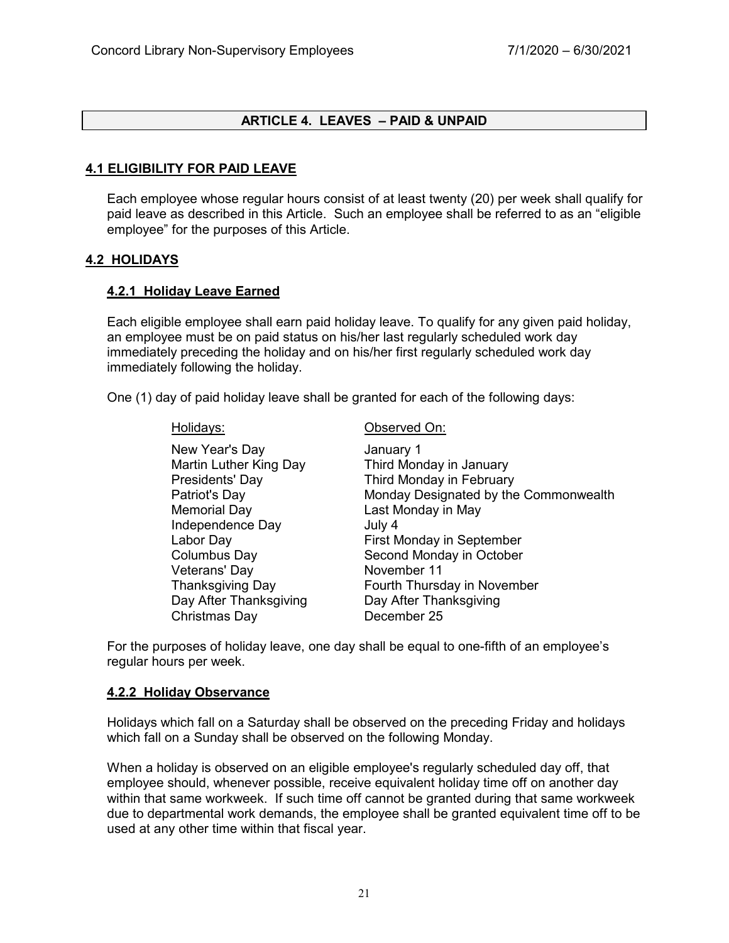## **ARTICLE 4. LEAVES – PAID & UNPAID**

## **4.1 ELIGIBILITY FOR PAID LEAVE**

Each employee whose regular hours consist of at least twenty (20) per week shall qualify for paid leave as described in this Article. Such an employee shall be referred to as an "eligible employee" for the purposes of this Article.

#### **4.2 HOLIDAYS**

#### **4.2.1 Holiday Leave Earned**

Each eligible employee shall earn paid holiday leave. To qualify for any given paid holiday, an employee must be on paid status on his/her last regularly scheduled work day immediately preceding the holiday and on his/her first regularly scheduled work day immediately following the holiday.

One (1) day of paid holiday leave shall be granted for each of the following days:

New Year's Day **Internal Contract Contract Contract Contract Contract Contract Contract Contract Contract Contract Contract Contract Contract Contract Contract Contract Contract Contract Contract Contract Contract Contract** Memorial Day **Last Monday in May** Independence Day **July 4** Veterans' Day Christmas Day December 25

Holidays: Observed On:

Martin Luther King Day Third Monday in January Presidents' Day Third Monday in February Patriot's Day **Monday Designated by the Commonwealth** Labor Day **First Monday in September** Columbus Day **Second Monday in October**<br>
Veterans' Dav Thanksgiving Day Fourth Thursday in November Day After Thanksgiving Day After Thanksgiving

For the purposes of holiday leave, one day shall be equal to one-fifth of an employee's regular hours per week.

#### **4.2.2 Holiday Observance**

Holidays which fall on a Saturday shall be observed on the preceding Friday and holidays which fall on a Sunday shall be observed on the following Monday.

When a holiday is observed on an eligible employee's regularly scheduled day off, that employee should, whenever possible, receive equivalent holiday time off on another day within that same workweek. If such time off cannot be granted during that same workweek due to departmental work demands, the employee shall be granted equivalent time off to be used at any other time within that fiscal year.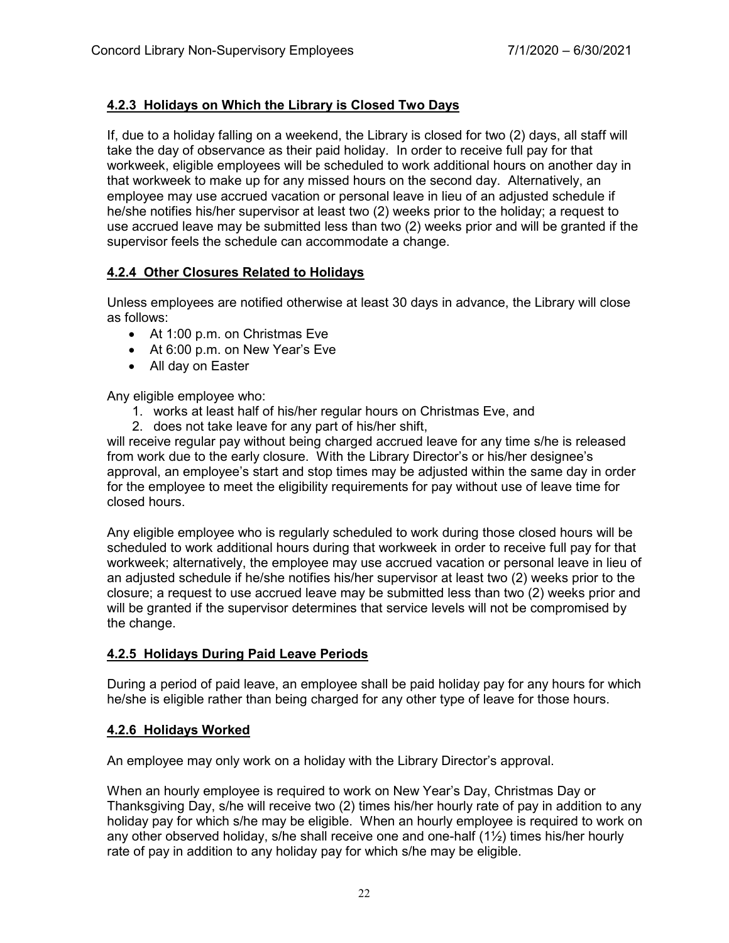# **4.2.3 Holidays on Which the Library is Closed Two Days**

If, due to a holiday falling on a weekend, the Library is closed for two (2) days, all staff will take the day of observance as their paid holiday. In order to receive full pay for that workweek, eligible employees will be scheduled to work additional hours on another day in that workweek to make up for any missed hours on the second day. Alternatively, an employee may use accrued vacation or personal leave in lieu of an adjusted schedule if he/she notifies his/her supervisor at least two (2) weeks prior to the holiday; a request to use accrued leave may be submitted less than two (2) weeks prior and will be granted if the supervisor feels the schedule can accommodate a change.

# **4.2.4 Other Closures Related to Holidays**

Unless employees are notified otherwise at least 30 days in advance, the Library will close as follows:

- At 1:00 p.m. on Christmas Eve
- At 6:00 p.m. on New Year's Eve
- All day on Easter

Any eligible employee who:

- 1. works at least half of his/her regular hours on Christmas Eve, and
- 2. does not take leave for any part of his/her shift,

will receive regular pay without being charged accrued leave for any time s/he is released from work due to the early closure. With the Library Director's or his/her designee's approval, an employee's start and stop times may be adjusted within the same day in order for the employee to meet the eligibility requirements for pay without use of leave time for closed hours.

Any eligible employee who is regularly scheduled to work during those closed hours will be scheduled to work additional hours during that workweek in order to receive full pay for that workweek; alternatively, the employee may use accrued vacation or personal leave in lieu of an adjusted schedule if he/she notifies his/her supervisor at least two (2) weeks prior to the closure; a request to use accrued leave may be submitted less than two (2) weeks prior and will be granted if the supervisor determines that service levels will not be compromised by the change.

# **4.2.5 Holidays During Paid Leave Periods**

During a period of paid leave, an employee shall be paid holiday pay for any hours for which he/she is eligible rather than being charged for any other type of leave for those hours.

# **4.2.6 Holidays Worked**

An employee may only work on a holiday with the Library Director's approval.

When an hourly employee is required to work on New Year's Day, Christmas Day or Thanksgiving Day, s/he will receive two (2) times his/her hourly rate of pay in addition to any holiday pay for which s/he may be eligible. When an hourly employee is required to work on any other observed holiday, s/he shall receive one and one-half  $(1/2)$  times his/her hourly rate of pay in addition to any holiday pay for which s/he may be eligible.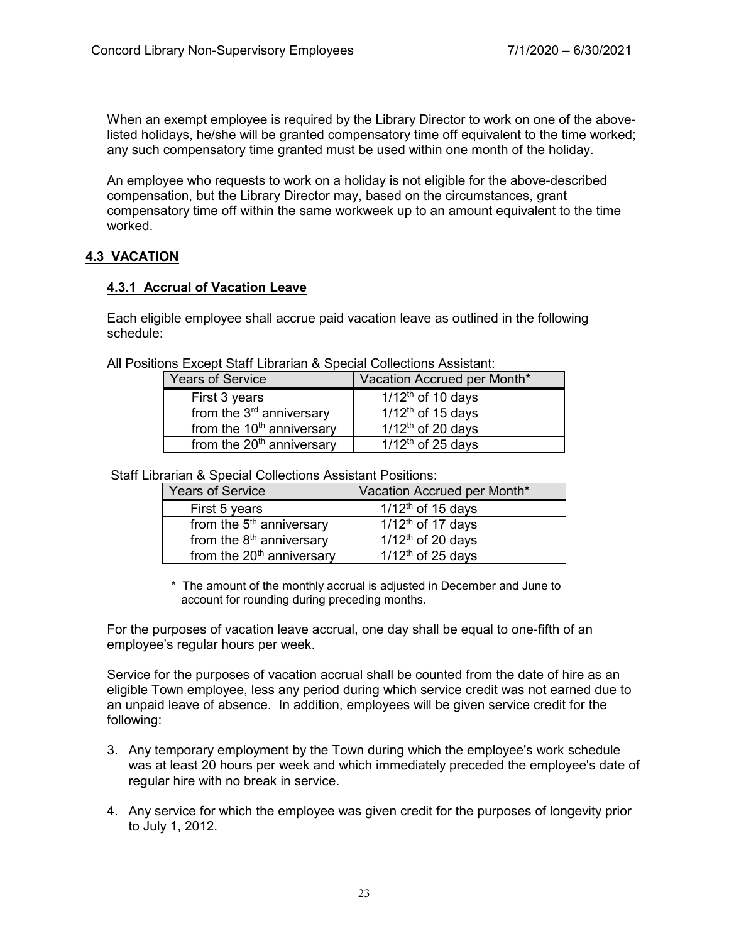When an exempt employee is required by the Library Director to work on one of the abovelisted holidays, he/she will be granted compensatory time off equivalent to the time worked; any such compensatory time granted must be used within one month of the holiday.

An employee who requests to work on a holiday is not eligible for the above-described compensation, but the Library Director may, based on the circumstances, grant compensatory time off within the same workweek up to an amount equivalent to the time worked.

# **4.3 VACATION**

# **4.3.1 Accrual of Vacation Leave**

Each eligible employee shall accrue paid vacation leave as outlined in the following schedule:

| nis Except Otan Eibrahan & Opecial Collections Assistant. |                                 |  |  |
|-----------------------------------------------------------|---------------------------------|--|--|
| <b>Years of Service</b>                                   | Vacation Accrued per Month*     |  |  |
| First 3 years                                             | $1/12$ <sup>th</sup> of 10 days |  |  |
| from the $3rd$ anniversary                                | $1/12$ <sup>th</sup> of 15 days |  |  |
| from the 10 <sup>th</sup> anniversary                     | $1/12$ <sup>th</sup> of 20 days |  |  |
| from the $20th$ anniversary                               | $1/12$ <sup>th</sup> of 25 days |  |  |

All Positions Except Staff Librarian & Special Collections Assistant:

Staff Librarian & Special Collections Assistant Positions:

| <b>Years of Service</b>               | Vacation Accrued per Month*     |
|---------------------------------------|---------------------------------|
| First 5 years                         | $1/12$ <sup>th</sup> of 15 days |
| from the 5 <sup>th</sup> anniversary  | $1/12th$ of 17 days             |
| from the 8 <sup>th</sup> anniversary  | $1/12$ <sup>th</sup> of 20 days |
| from the 20 <sup>th</sup> anniversary | $1/12$ <sup>th</sup> of 25 days |

\* The amount of the monthly accrual is adjusted in December and June to account for rounding during preceding months.

For the purposes of vacation leave accrual, one day shall be equal to one-fifth of an employee's regular hours per week.

Service for the purposes of vacation accrual shall be counted from the date of hire as an eligible Town employee, less any period during which service credit was not earned due to an unpaid leave of absence. In addition, employees will be given service credit for the following:

- 3. Any temporary employment by the Town during which the employee's work schedule was at least 20 hours per week and which immediately preceded the employee's date of regular hire with no break in service.
- 4. Any service for which the employee was given credit for the purposes of longevity prior to July 1, 2012.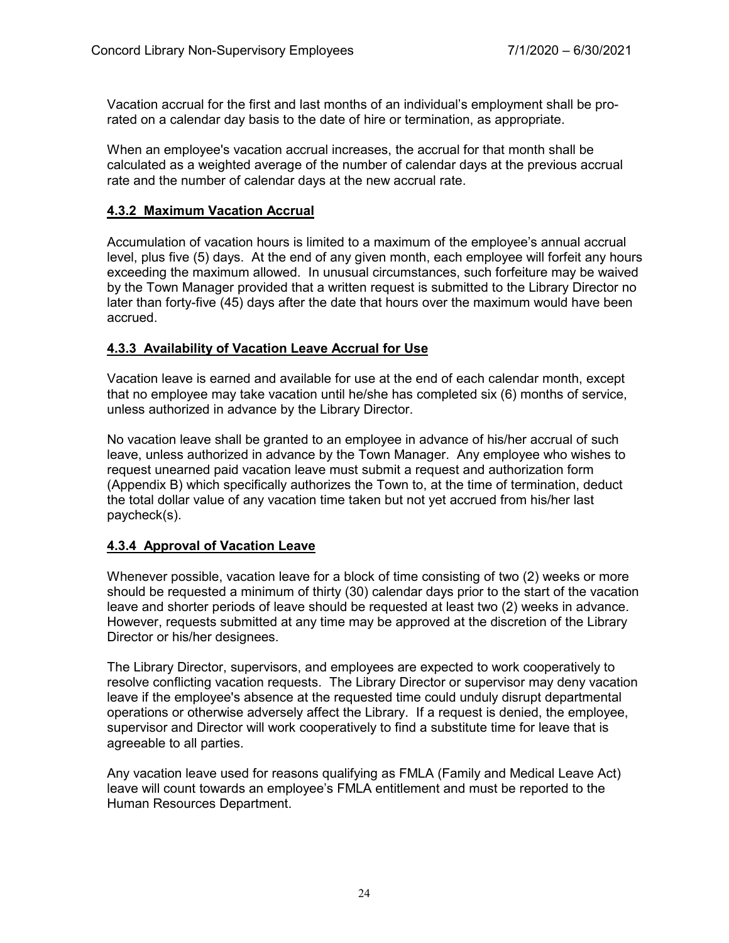Vacation accrual for the first and last months of an individual's employment shall be prorated on a calendar day basis to the date of hire or termination, as appropriate.

When an employee's vacation accrual increases, the accrual for that month shall be calculated as a weighted average of the number of calendar days at the previous accrual rate and the number of calendar days at the new accrual rate.

## **4.3.2 Maximum Vacation Accrual**

Accumulation of vacation hours is limited to a maximum of the employee's annual accrual level, plus five (5) days. At the end of any given month, each employee will forfeit any hours exceeding the maximum allowed. In unusual circumstances, such forfeiture may be waived by the Town Manager provided that a written request is submitted to the Library Director no later than forty-five (45) days after the date that hours over the maximum would have been accrued.

## **4.3.3 Availability of Vacation Leave Accrual for Use**

Vacation leave is earned and available for use at the end of each calendar month, except that no employee may take vacation until he/she has completed six (6) months of service, unless authorized in advance by the Library Director.

No vacation leave shall be granted to an employee in advance of his/her accrual of such leave, unless authorized in advance by the Town Manager. Any employee who wishes to request unearned paid vacation leave must submit a request and authorization form (Appendix B) which specifically authorizes the Town to, at the time of termination, deduct the total dollar value of any vacation time taken but not yet accrued from his/her last paycheck(s).

# **4.3.4 Approval of Vacation Leave**

Whenever possible, vacation leave for a block of time consisting of two (2) weeks or more should be requested a minimum of thirty (30) calendar days prior to the start of the vacation leave and shorter periods of leave should be requested at least two (2) weeks in advance. However, requests submitted at any time may be approved at the discretion of the Library Director or his/her designees.

The Library Director, supervisors, and employees are expected to work cooperatively to resolve conflicting vacation requests. The Library Director or supervisor may deny vacation leave if the employee's absence at the requested time could unduly disrupt departmental operations or otherwise adversely affect the Library. If a request is denied, the employee, supervisor and Director will work cooperatively to find a substitute time for leave that is agreeable to all parties.

Any vacation leave used for reasons qualifying as FMLA (Family and Medical Leave Act) leave will count towards an employee's FMLA entitlement and must be reported to the Human Resources Department.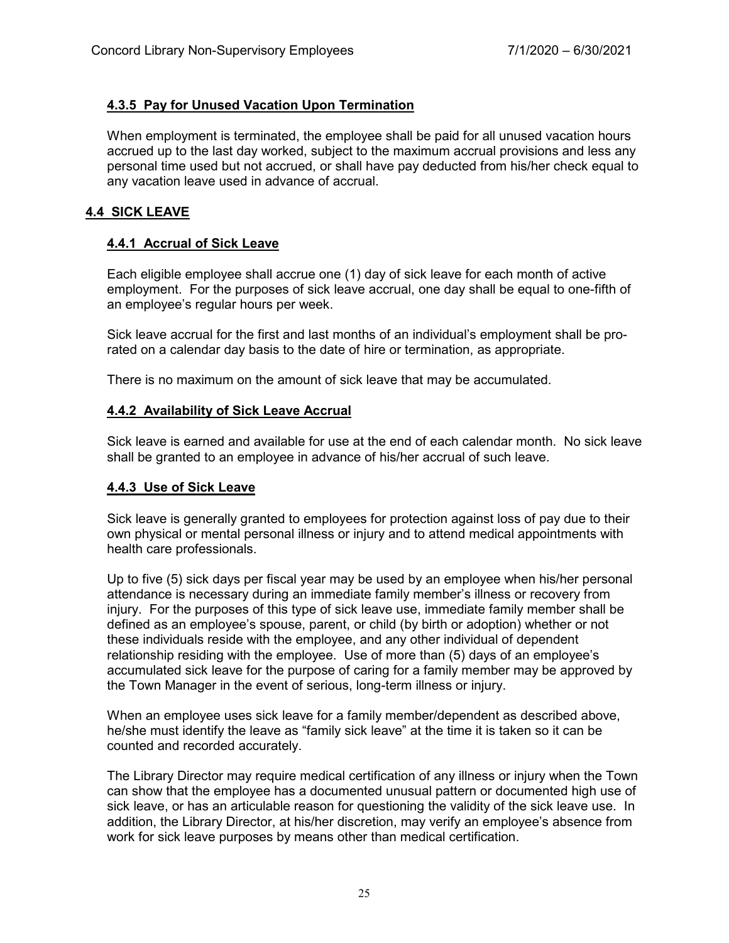# **4.3.5 Pay for Unused Vacation Upon Termination**

When employment is terminated, the employee shall be paid for all unused vacation hours accrued up to the last day worked, subject to the maximum accrual provisions and less any personal time used but not accrued, or shall have pay deducted from his/her check equal to any vacation leave used in advance of accrual.

## **4.4 SICK LEAVE**

## **4.4.1 Accrual of Sick Leave**

Each eligible employee shall accrue one (1) day of sick leave for each month of active employment. For the purposes of sick leave accrual, one day shall be equal to one-fifth of an employee's regular hours per week.

Sick leave accrual for the first and last months of an individual's employment shall be prorated on a calendar day basis to the date of hire or termination, as appropriate.

There is no maximum on the amount of sick leave that may be accumulated.

#### **4.4.2 Availability of Sick Leave Accrual**

Sick leave is earned and available for use at the end of each calendar month. No sick leave shall be granted to an employee in advance of his/her accrual of such leave.

#### **4.4.3 Use of Sick Leave**

Sick leave is generally granted to employees for protection against loss of pay due to their own physical or mental personal illness or injury and to attend medical appointments with health care professionals.

Up to five (5) sick days per fiscal year may be used by an employee when his/her personal attendance is necessary during an immediate family member's illness or recovery from injury. For the purposes of this type of sick leave use, immediate family member shall be defined as an employee's spouse, parent, or child (by birth or adoption) whether or not these individuals reside with the employee, and any other individual of dependent relationship residing with the employee. Use of more than (5) days of an employee's accumulated sick leave for the purpose of caring for a family member may be approved by the Town Manager in the event of serious, long-term illness or injury.

When an employee uses sick leave for a family member/dependent as described above, he/she must identify the leave as "family sick leave" at the time it is taken so it can be counted and recorded accurately.

The Library Director may require medical certification of any illness or injury when the Town can show that the employee has a documented unusual pattern or documented high use of sick leave, or has an articulable reason for questioning the validity of the sick leave use. In addition, the Library Director, at his/her discretion, may verify an employee's absence from work for sick leave purposes by means other than medical certification.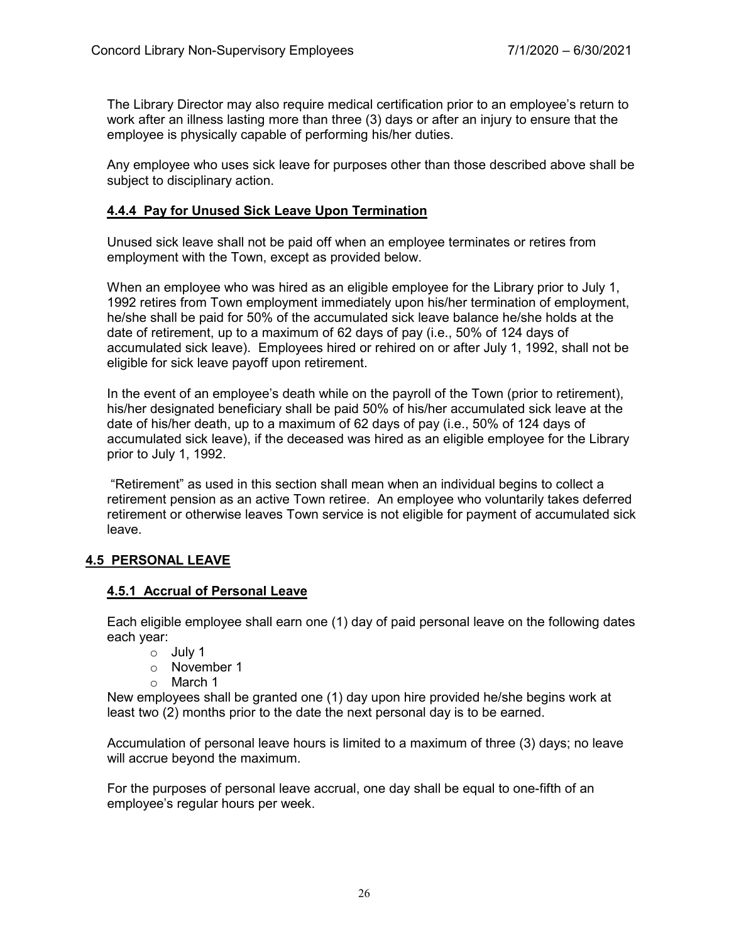The Library Director may also require medical certification prior to an employee's return to work after an illness lasting more than three (3) days or after an injury to ensure that the employee is physically capable of performing his/her duties.

Any employee who uses sick leave for purposes other than those described above shall be subject to disciplinary action.

## **4.4.4 Pay for Unused Sick Leave Upon Termination**

Unused sick leave shall not be paid off when an employee terminates or retires from employment with the Town, except as provided below.

When an employee who was hired as an eligible employee for the Library prior to July 1, 1992 retires from Town employment immediately upon his/her termination of employment, he/she shall be paid for 50% of the accumulated sick leave balance he/she holds at the date of retirement, up to a maximum of 62 days of pay (i.e., 50% of 124 days of accumulated sick leave). Employees hired or rehired on or after July 1, 1992, shall not be eligible for sick leave payoff upon retirement.

In the event of an employee's death while on the payroll of the Town (prior to retirement), his/her designated beneficiary shall be paid 50% of his/her accumulated sick leave at the date of his/her death, up to a maximum of 62 days of pay (i.e., 50% of 124 days of accumulated sick leave), if the deceased was hired as an eligible employee for the Library prior to July 1, 1992.

"Retirement" as used in this section shall mean when an individual begins to collect a retirement pension as an active Town retiree. An employee who voluntarily takes deferred retirement or otherwise leaves Town service is not eligible for payment of accumulated sick leave.

#### **4.5 PERSONAL LEAVE**

#### **4.5.1 Accrual of Personal Leave**

Each eligible employee shall earn one (1) day of paid personal leave on the following dates each year:

- o July 1
- o November 1
- o March 1

New employees shall be granted one (1) day upon hire provided he/she begins work at least two (2) months prior to the date the next personal day is to be earned.

Accumulation of personal leave hours is limited to a maximum of three (3) days; no leave will accrue beyond the maximum.

For the purposes of personal leave accrual, one day shall be equal to one-fifth of an employee's regular hours per week.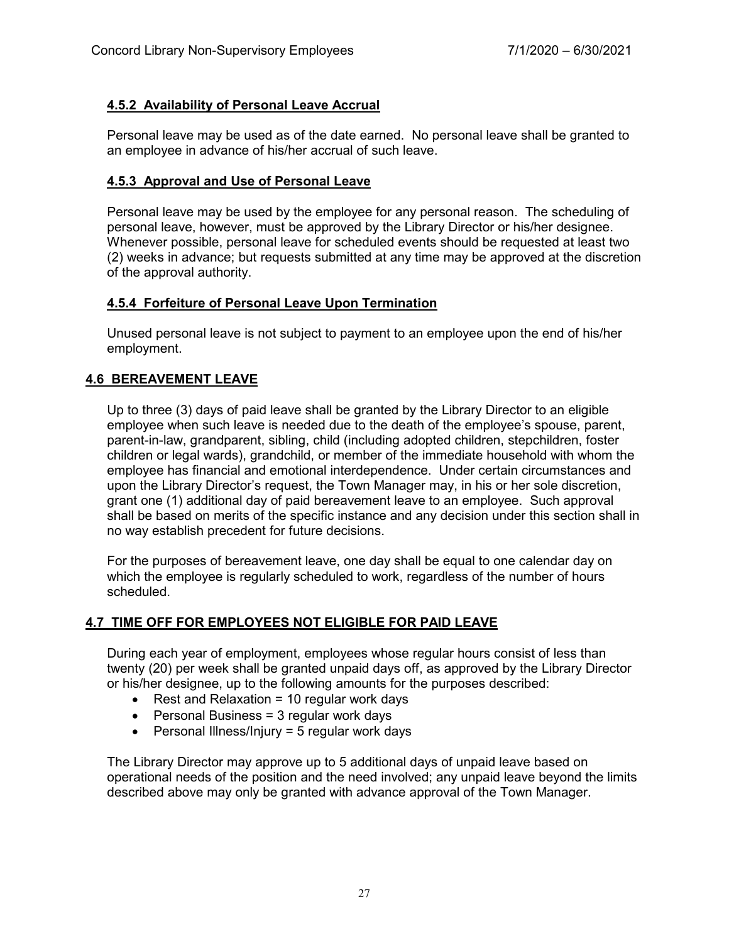# **4.5.2 Availability of Personal Leave Accrual**

Personal leave may be used as of the date earned. No personal leave shall be granted to an employee in advance of his/her accrual of such leave.

# **4.5.3 Approval and Use of Personal Leave**

Personal leave may be used by the employee for any personal reason. The scheduling of personal leave, however, must be approved by the Library Director or his/her designee. Whenever possible, personal leave for scheduled events should be requested at least two (2) weeks in advance; but requests submitted at any time may be approved at the discretion of the approval authority.

## **4.5.4 Forfeiture of Personal Leave Upon Termination**

Unused personal leave is not subject to payment to an employee upon the end of his/her employment.

# **4.6 BEREAVEMENT LEAVE**

Up to three (3) days of paid leave shall be granted by the Library Director to an eligible employee when such leave is needed due to the death of the employee's spouse, parent, parent-in-law, grandparent, sibling, child (including adopted children, stepchildren, foster children or legal wards), grandchild, or member of the immediate household with whom the employee has financial and emotional interdependence. Under certain circumstances and upon the Library Director's request, the Town Manager may, in his or her sole discretion, grant one (1) additional day of paid bereavement leave to an employee. Such approval shall be based on merits of the specific instance and any decision under this section shall in no way establish precedent for future decisions.

For the purposes of bereavement leave, one day shall be equal to one calendar day on which the employee is regularly scheduled to work, regardless of the number of hours scheduled.

# **4.7 TIME OFF FOR EMPLOYEES NOT ELIGIBLE FOR PAID LEAVE**

During each year of employment, employees whose regular hours consist of less than twenty (20) per week shall be granted unpaid days off, as approved by the Library Director or his/her designee, up to the following amounts for the purposes described:

- Rest and Relaxation  $= 10$  regular work days
- Personal Business = 3 regular work days
- Personal Illness/Injury = 5 regular work days

The Library Director may approve up to 5 additional days of unpaid leave based on operational needs of the position and the need involved; any unpaid leave beyond the limits described above may only be granted with advance approval of the Town Manager.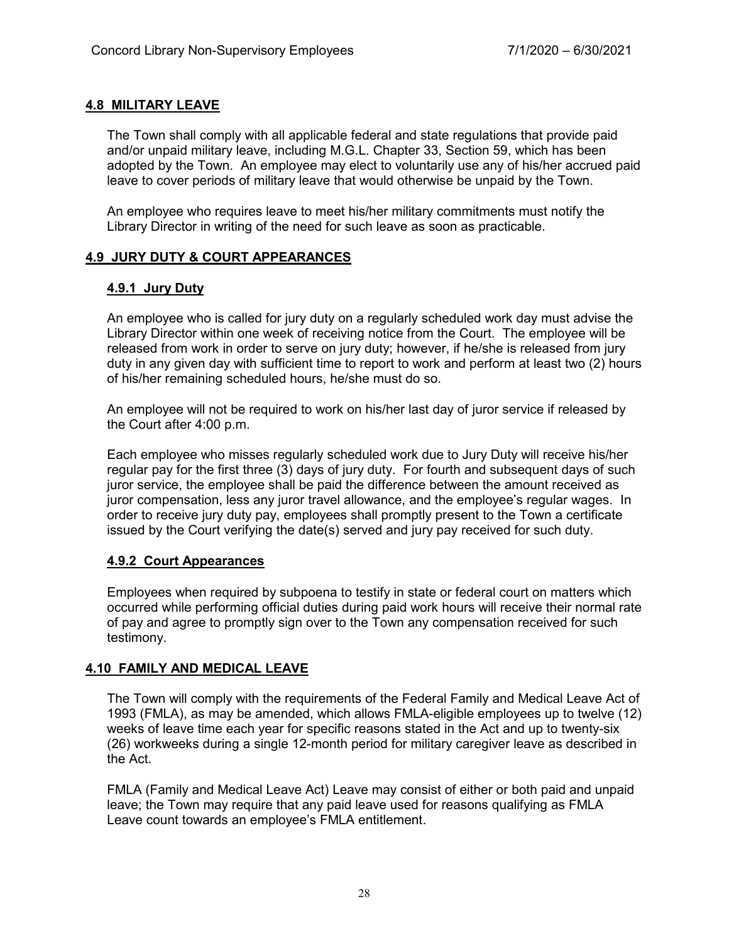# **4.8 MILITARY LEAVE**

The Town shall comply with all applicable federal and state regulations that provide paid and/or unpaid military leave, including M.G.L. Chapter 33, Section 59, which has been adopted by the Town. An employee may elect to voluntarily use any of his/her accrued paid leave to cover periods of military leave that would otherwise be unpaid by the Town.

An employee who requires leave to meet his/her military commitments must notify the Library Director in writing of the need for such leave as soon as practicable.

# **4.9 JURY DUTY & COURT APPEARANCES**

# **4.9.1 Jury Duty**

An employee who is called for jury duty on a regularly scheduled work day must advise the Library Director within one week of receiving notice from the Court. The employee will be released from work in order to serve on jury duty; however, if he/she is released from jury duty in any given day with sufficient time to report to work and perform at least two (2) hours of his/her remaining scheduled hours, he/she must do so.

An employee will not be required to work on his/her last day of juror service if released by the Court after 4:00 p.m.

Each employee who misses regularly scheduled work due to Jury Duty will receive his/her regular pay for the first three (3) days of jury duty. For fourth and subsequent days of such juror service, the employee shall be paid the difference between the amount received as juror compensation, less any juror travel allowance, and the employee's regular wages. In order to receive jury duty pay, employees shall promptly present to the Town a certificate issued by the Court verifying the date(s) served and jury pay received for such duty.

# **4.9.2 Court Appearances**

Employees when required by subpoena to testify in state or federal court on matters which occurred while performing official duties during paid work hours will receive their normal rate of pay and agree to promptly sign over to the Town any compensation received for such testimony.

# **4.10 FAMILY AND MEDICAL LEAVE**

The Town will comply with the requirements of the Federal Family and Medical Leave Act of 1993 (FMLA), as may be amended, which allows FMLA-eligible employees up to twelve (12) weeks of leave time each year for specific reasons stated in the Act and up to twenty-six (26) workweeks during a single 12-month period for military caregiver leave as described in the Act.

FMLA (Family and Medical Leave Act) Leave may consist of either or both paid and unpaid leave; the Town may require that any paid leave used for reasons qualifying as FMLA Leave count towards an employee's FMLA entitlement.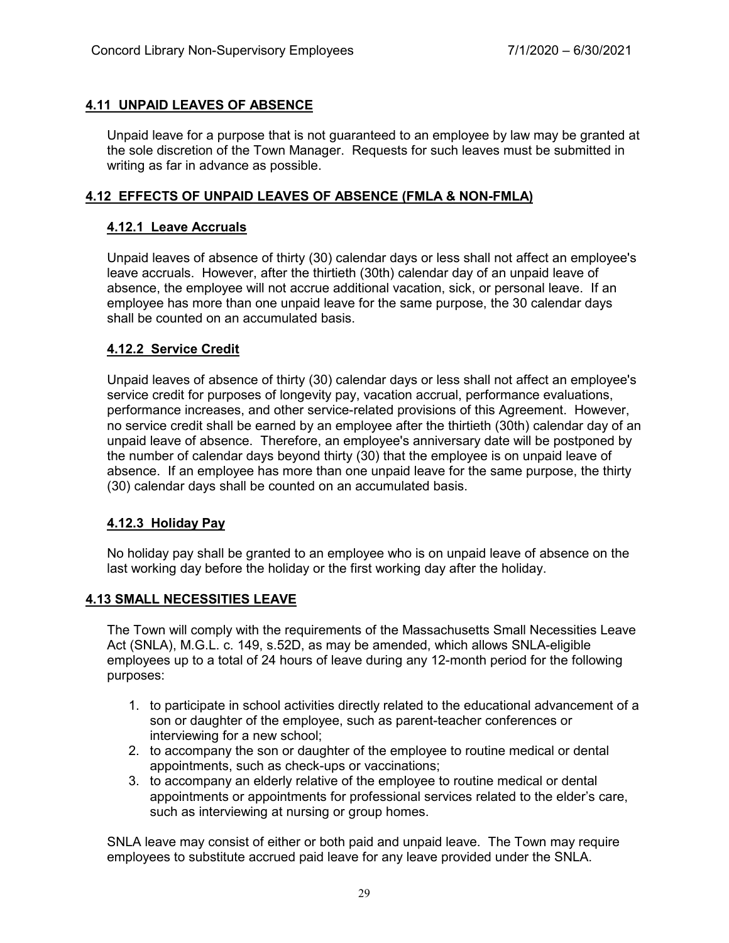# **4.11 UNPAID LEAVES OF ABSENCE**

Unpaid leave for a purpose that is not guaranteed to an employee by law may be granted at the sole discretion of the Town Manager. Requests for such leaves must be submitted in writing as far in advance as possible.

## **4.12 EFFECTS OF UNPAID LEAVES OF ABSENCE (FMLA & NON-FMLA)**

## **4.12.1 Leave Accruals**

Unpaid leaves of absence of thirty (30) calendar days or less shall not affect an employee's leave accruals. However, after the thirtieth (30th) calendar day of an unpaid leave of absence, the employee will not accrue additional vacation, sick, or personal leave. If an employee has more than one unpaid leave for the same purpose, the 30 calendar days shall be counted on an accumulated basis.

## **4.12.2 Service Credit**

Unpaid leaves of absence of thirty (30) calendar days or less shall not affect an employee's service credit for purposes of longevity pay, vacation accrual, performance evaluations, performance increases, and other service-related provisions of this Agreement. However, no service credit shall be earned by an employee after the thirtieth (30th) calendar day of an unpaid leave of absence. Therefore, an employee's anniversary date will be postponed by the number of calendar days beyond thirty (30) that the employee is on unpaid leave of absence. If an employee has more than one unpaid leave for the same purpose, the thirty (30) calendar days shall be counted on an accumulated basis.

# **4.12.3 Holiday Pay**

No holiday pay shall be granted to an employee who is on unpaid leave of absence on the last working day before the holiday or the first working day after the holiday.

# **4.13 SMALL NECESSITIES LEAVE**

The Town will comply with the requirements of the Massachusetts Small Necessities Leave Act (SNLA), M.G.L. c. 149, s.52D, as may be amended, which allows SNLA-eligible employees up to a total of 24 hours of leave during any 12-month period for the following purposes:

- 1. to participate in school activities directly related to the educational advancement of a son or daughter of the employee, such as parent-teacher conferences or interviewing for a new school;
- 2. to accompany the son or daughter of the employee to routine medical or dental appointments, such as check-ups or vaccinations;
- 3. to accompany an elderly relative of the employee to routine medical or dental appointments or appointments for professional services related to the elder's care, such as interviewing at nursing or group homes.

SNLA leave may consist of either or both paid and unpaid leave. The Town may require employees to substitute accrued paid leave for any leave provided under the SNLA.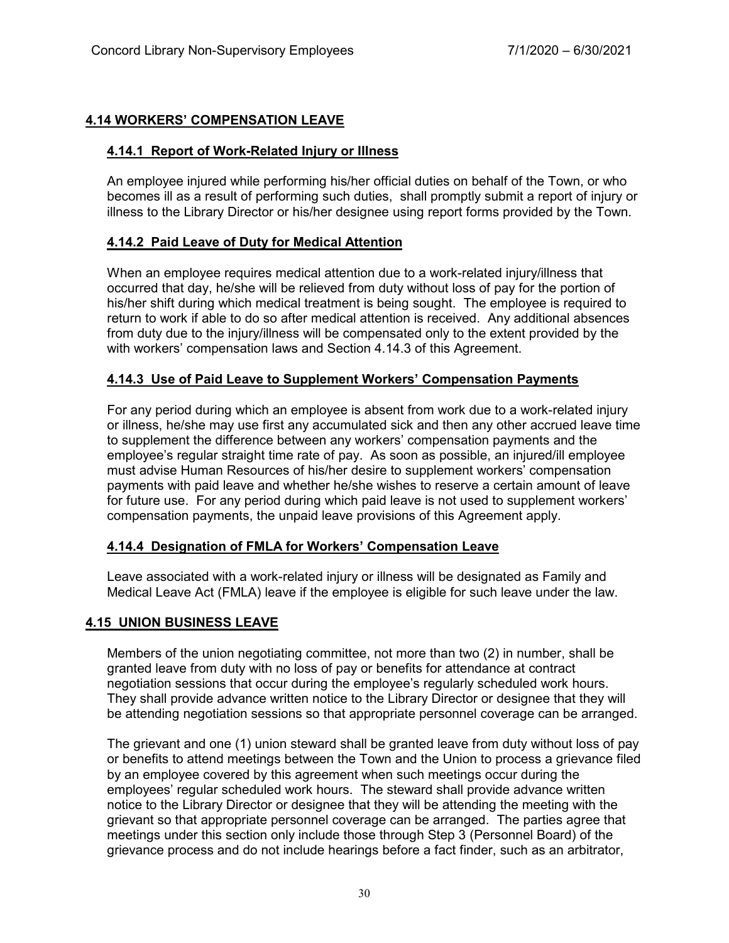# **4.14 WORKERS' COMPENSATION LEAVE**

# **4.14.1 Report of Work-Related Injury or Illness**

An employee injured while performing his/her official duties on behalf of the Town, or who becomes ill as a result of performing such duties, shall promptly submit a report of injury or illness to the Library Director or his/her designee using report forms provided by the Town.

# **4.14.2 Paid Leave of Duty for Medical Attention**

When an employee requires medical attention due to a work-related injury/illness that occurred that day, he/she will be relieved from duty without loss of pay for the portion of his/her shift during which medical treatment is being sought. The employee is required to return to work if able to do so after medical attention is received. Any additional absences from duty due to the injury/illness will be compensated only to the extent provided by the with workers' compensation laws and Section 4.14.3 of this Agreement.

# **4.14.3 Use of Paid Leave to Supplement Workers' Compensation Payments**

For any period during which an employee is absent from work due to a work-related injury or illness, he/she may use first any accumulated sick and then any other accrued leave time to supplement the difference between any workers' compensation payments and the employee's regular straight time rate of pay. As soon as possible, an injured/ill employee must advise Human Resources of his/her desire to supplement workers' compensation payments with paid leave and whether he/she wishes to reserve a certain amount of leave for future use. For any period during which paid leave is not used to supplement workers' compensation payments, the unpaid leave provisions of this Agreement apply.

# **4.14.4 Designation of FMLA for Workers' Compensation Leave**

Leave associated with a work-related injury or illness will be designated as Family and Medical Leave Act (FMLA) leave if the employee is eligible for such leave under the law.

# **4.15 UNION BUSINESS LEAVE**

Members of the union negotiating committee, not more than two (2) in number, shall be granted leave from duty with no loss of pay or benefits for attendance at contract negotiation sessions that occur during the employee's regularly scheduled work hours. They shall provide advance written notice to the Library Director or designee that they will be attending negotiation sessions so that appropriate personnel coverage can be arranged.

The grievant and one (1) union steward shall be granted leave from duty without loss of pay or benefits to attend meetings between the Town and the Union to process a grievance filed by an employee covered by this agreement when such meetings occur during the employees' regular scheduled work hours. The steward shall provide advance written notice to the Library Director or designee that they will be attending the meeting with the grievant so that appropriate personnel coverage can be arranged. The parties agree that meetings under this section only include those through Step 3 (Personnel Board) of the grievance process and do not include hearings before a fact finder, such as an arbitrator,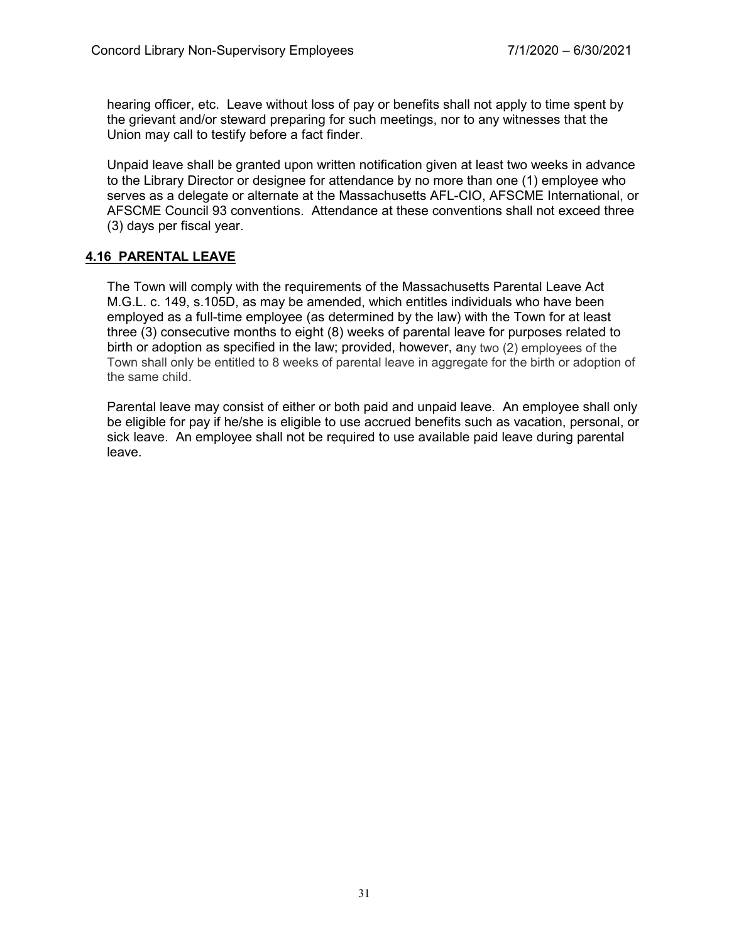hearing officer, etc. Leave without loss of pay or benefits shall not apply to time spent by the grievant and/or steward preparing for such meetings, nor to any witnesses that the Union may call to testify before a fact finder.

Unpaid leave shall be granted upon written notification given at least two weeks in advance to the Library Director or designee for attendance by no more than one (1) employee who serves as a delegate or alternate at the Massachusetts AFL-CIO, AFSCME International, or AFSCME Council 93 conventions. Attendance at these conventions shall not exceed three (3) days per fiscal year.

# **4.16 PARENTAL LEAVE**

The Town will comply with the requirements of the Massachusetts Parental Leave Act M.G.L. c. 149, s.105D, as may be amended, which entitles individuals who have been employed as a full-time employee (as determined by the law) with the Town for at least three (3) consecutive months to eight (8) weeks of parental leave for purposes related to birth or adoption as specified in the law; provided, however, any two (2) employees of the Town shall only be entitled to 8 weeks of parental leave in aggregate for the birth or adoption of the same child.

Parental leave may consist of either or both paid and unpaid leave. An employee shall only be eligible for pay if he/she is eligible to use accrued benefits such as vacation, personal, or sick leave. An employee shall not be required to use available paid leave during parental leave.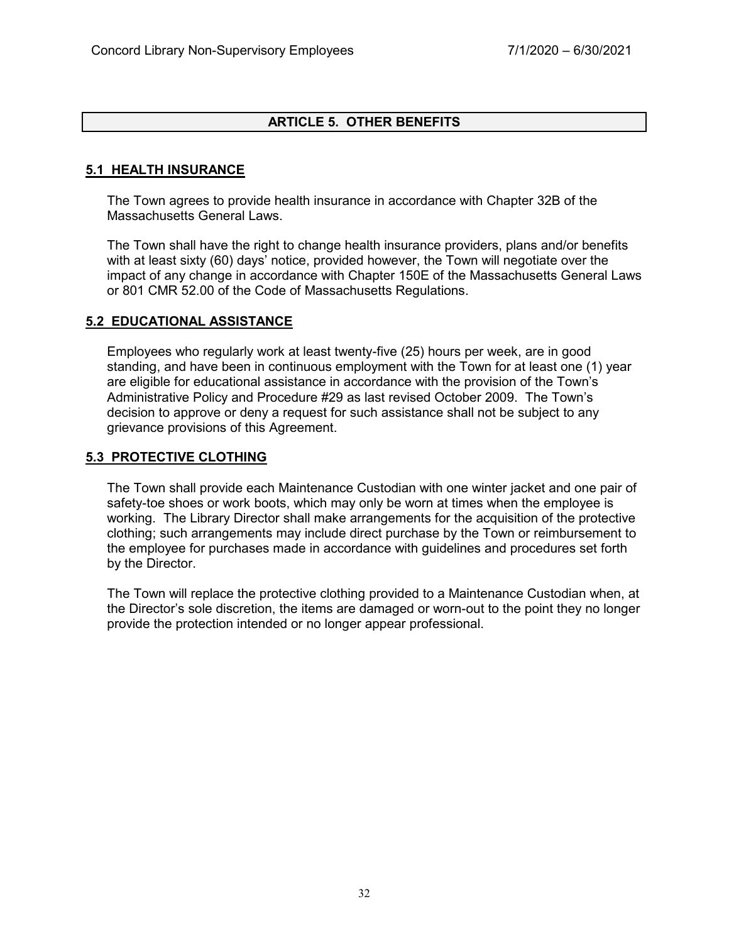## **ARTICLE 5. OTHER BENEFITS**

## **5.1 HEALTH INSURANCE**

The Town agrees to provide health insurance in accordance with Chapter 32B of the Massachusetts General Laws.

The Town shall have the right to change health insurance providers, plans and/or benefits with at least sixty (60) days' notice, provided however, the Town will negotiate over the impact of any change in accordance with Chapter 150E of the Massachusetts General Laws or 801 CMR 52.00 of the Code of Massachusetts Regulations.

#### **5.2 EDUCATIONAL ASSISTANCE**

Employees who regularly work at least twenty-five (25) hours per week, are in good standing, and have been in continuous employment with the Town for at least one (1) year are eligible for educational assistance in accordance with the provision of the Town's Administrative Policy and Procedure #29 as last revised October 2009. The Town's decision to approve or deny a request for such assistance shall not be subject to any grievance provisions of this Agreement.

#### **5.3 PROTECTIVE CLOTHING**

The Town shall provide each Maintenance Custodian with one winter jacket and one pair of safety-toe shoes or work boots, which may only be worn at times when the employee is working. The Library Director shall make arrangements for the acquisition of the protective clothing; such arrangements may include direct purchase by the Town or reimbursement to the employee for purchases made in accordance with guidelines and procedures set forth by the Director.

The Town will replace the protective clothing provided to a Maintenance Custodian when, at the Director's sole discretion, the items are damaged or worn-out to the point they no longer provide the protection intended or no longer appear professional.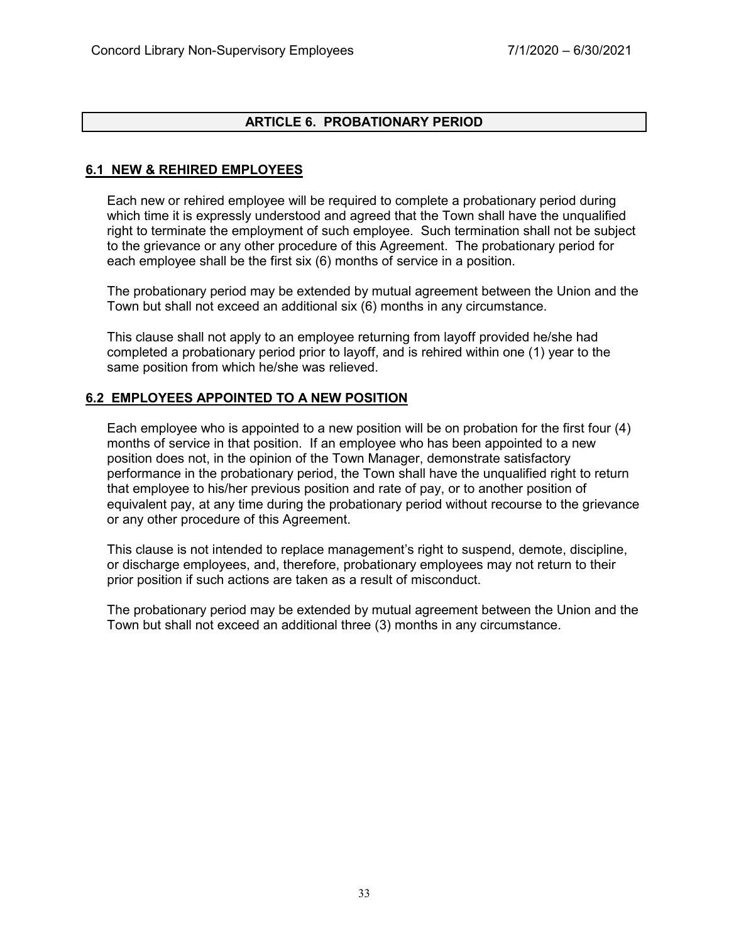## **ARTICLE 6. PROBATIONARY PERIOD**

## **6.1 NEW & REHIRED EMPLOYEES**

Each new or rehired employee will be required to complete a probationary period during which time it is expressly understood and agreed that the Town shall have the unqualified right to terminate the employment of such employee. Such termination shall not be subject to the grievance or any other procedure of this Agreement. The probationary period for each employee shall be the first six (6) months of service in a position.

The probationary period may be extended by mutual agreement between the Union and the Town but shall not exceed an additional six (6) months in any circumstance.

This clause shall not apply to an employee returning from layoff provided he/she had completed a probationary period prior to layoff, and is rehired within one (1) year to the same position from which he/she was relieved.

#### **6.2 EMPLOYEES APPOINTED TO A NEW POSITION**

Each employee who is appointed to a new position will be on probation for the first four (4) months of service in that position. If an employee who has been appointed to a new position does not, in the opinion of the Town Manager, demonstrate satisfactory performance in the probationary period, the Town shall have the unqualified right to return that employee to his/her previous position and rate of pay, or to another position of equivalent pay, at any time during the probationary period without recourse to the grievance or any other procedure of this Agreement.

This clause is not intended to replace management's right to suspend, demote, discipline, or discharge employees, and, therefore, probationary employees may not return to their prior position if such actions are taken as a result of misconduct.

The probationary period may be extended by mutual agreement between the Union and the Town but shall not exceed an additional three (3) months in any circumstance.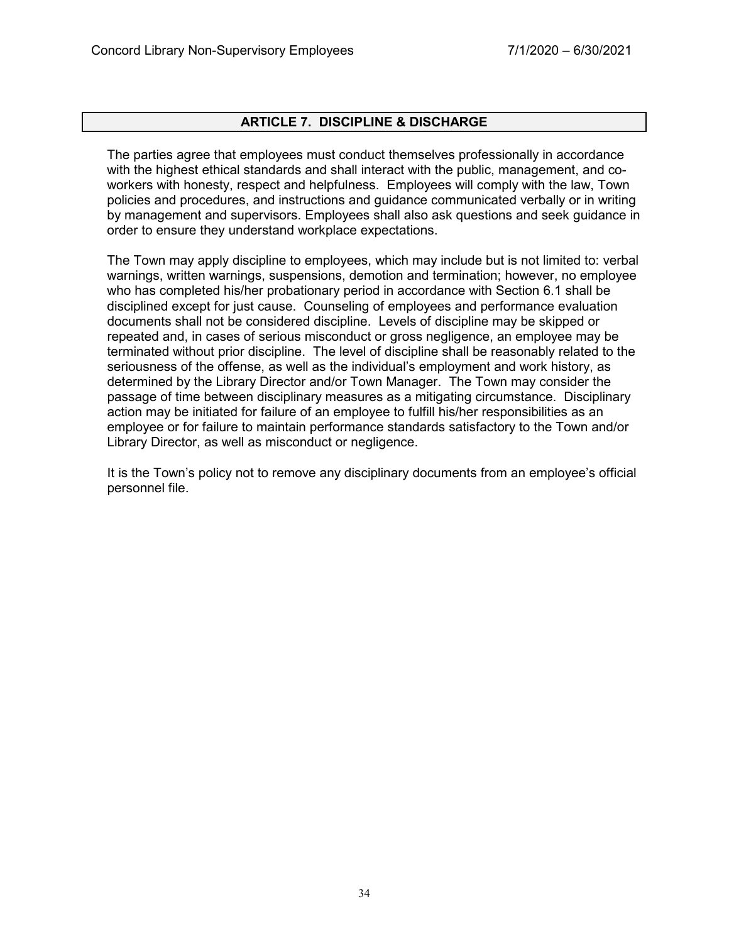#### **ARTICLE 7. DISCIPLINE & DISCHARGE**

The parties agree that employees must conduct themselves professionally in accordance with the highest ethical standards and shall interact with the public, management, and coworkers with honesty, respect and helpfulness. Employees will comply with the law, Town policies and procedures, and instructions and guidance communicated verbally or in writing by management and supervisors. Employees shall also ask questions and seek guidance in order to ensure they understand workplace expectations.

The Town may apply discipline to employees, which may include but is not limited to: verbal warnings, written warnings, suspensions, demotion and termination; however, no employee who has completed his/her probationary period in accordance with Section 6.1 shall be disciplined except for just cause. Counseling of employees and performance evaluation documents shall not be considered discipline. Levels of discipline may be skipped or repeated and, in cases of serious misconduct or gross negligence, an employee may be terminated without prior discipline. The level of discipline shall be reasonably related to the seriousness of the offense, as well as the individual's employment and work history, as determined by the Library Director and/or Town Manager. The Town may consider the passage of time between disciplinary measures as a mitigating circumstance. Disciplinary action may be initiated for failure of an employee to fulfill his/her responsibilities as an employee or for failure to maintain performance standards satisfactory to the Town and/or Library Director, as well as misconduct or negligence.

It is the Town's policy not to remove any disciplinary documents from an employee's official personnel file.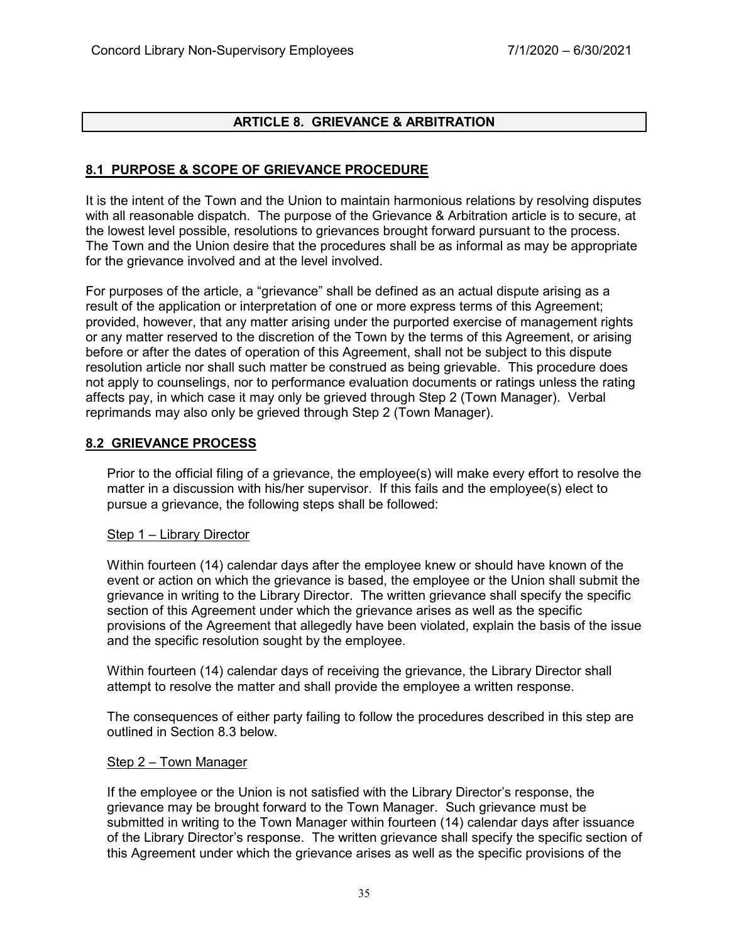# **ARTICLE 8. GRIEVANCE & ARBITRATION**

## **8.1 PURPOSE & SCOPE OF GRIEVANCE PROCEDURE**

It is the intent of the Town and the Union to maintain harmonious relations by resolving disputes with all reasonable dispatch. The purpose of the Grievance & Arbitration article is to secure, at the lowest level possible, resolutions to grievances brought forward pursuant to the process. The Town and the Union desire that the procedures shall be as informal as may be appropriate for the grievance involved and at the level involved.

For purposes of the article, a "grievance" shall be defined as an actual dispute arising as a result of the application or interpretation of one or more express terms of this Agreement; provided, however, that any matter arising under the purported exercise of management rights or any matter reserved to the discretion of the Town by the terms of this Agreement, or arising before or after the dates of operation of this Agreement, shall not be subject to this dispute resolution article nor shall such matter be construed as being grievable. This procedure does not apply to counselings, nor to performance evaluation documents or ratings unless the rating affects pay, in which case it may only be grieved through Step 2 (Town Manager). Verbal reprimands may also only be grieved through Step 2 (Town Manager).

#### **8.2 GRIEVANCE PROCESS**

Prior to the official filing of a grievance, the employee(s) will make every effort to resolve the matter in a discussion with his/her supervisor. If this fails and the employee(s) elect to pursue a grievance, the following steps shall be followed:

#### Step 1 – Library Director

Within fourteen (14) calendar days after the employee knew or should have known of the event or action on which the grievance is based, the employee or the Union shall submit the grievance in writing to the Library Director. The written grievance shall specify the specific section of this Agreement under which the grievance arises as well as the specific provisions of the Agreement that allegedly have been violated, explain the basis of the issue and the specific resolution sought by the employee.

Within fourteen (14) calendar days of receiving the grievance, the Library Director shall attempt to resolve the matter and shall provide the employee a written response.

The consequences of either party failing to follow the procedures described in this step are outlined in Section 8.3 below.

#### Step 2 – Town Manager

If the employee or the Union is not satisfied with the Library Director's response, the grievance may be brought forward to the Town Manager. Such grievance must be submitted in writing to the Town Manager within fourteen (14) calendar days after issuance of the Library Director's response. The written grievance shall specify the specific section of this Agreement under which the grievance arises as well as the specific provisions of the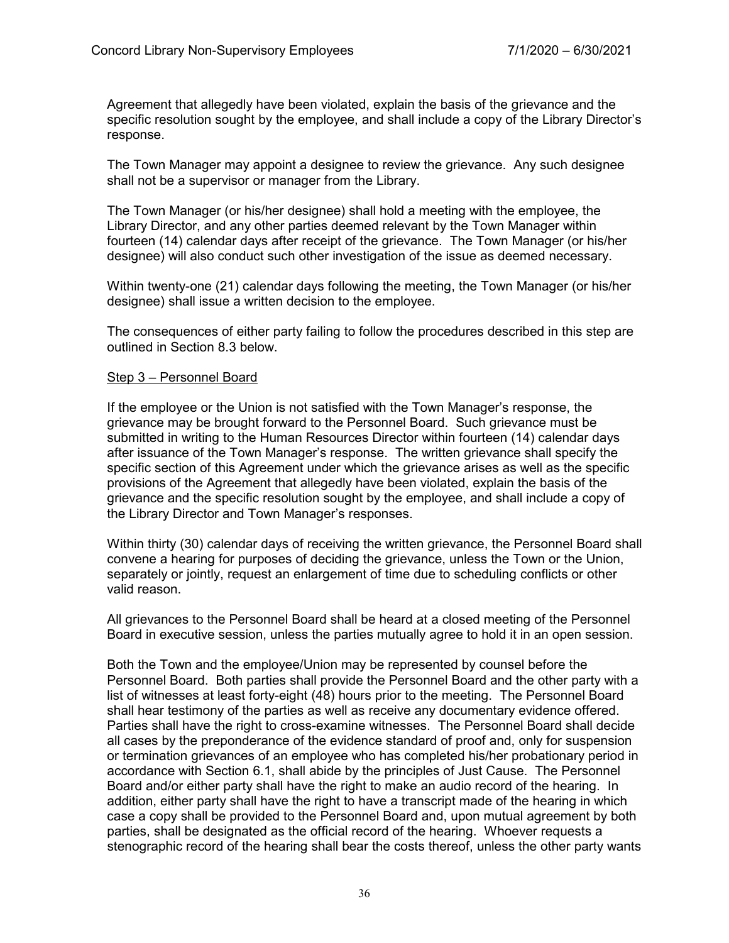Agreement that allegedly have been violated, explain the basis of the grievance and the specific resolution sought by the employee, and shall include a copy of the Library Director's response.

The Town Manager may appoint a designee to review the grievance. Any such designee shall not be a supervisor or manager from the Library.

The Town Manager (or his/her designee) shall hold a meeting with the employee, the Library Director, and any other parties deemed relevant by the Town Manager within fourteen (14) calendar days after receipt of the grievance. The Town Manager (or his/her designee) will also conduct such other investigation of the issue as deemed necessary.

Within twenty-one (21) calendar days following the meeting, the Town Manager (or his/her designee) shall issue a written decision to the employee.

The consequences of either party failing to follow the procedures described in this step are outlined in Section 8.3 below.

#### Step 3 – Personnel Board

If the employee or the Union is not satisfied with the Town Manager's response, the grievance may be brought forward to the Personnel Board. Such grievance must be submitted in writing to the Human Resources Director within fourteen (14) calendar days after issuance of the Town Manager's response. The written grievance shall specify the specific section of this Agreement under which the grievance arises as well as the specific provisions of the Agreement that allegedly have been violated, explain the basis of the grievance and the specific resolution sought by the employee, and shall include a copy of the Library Director and Town Manager's responses.

Within thirty (30) calendar days of receiving the written grievance, the Personnel Board shall convene a hearing for purposes of deciding the grievance, unless the Town or the Union, separately or jointly, request an enlargement of time due to scheduling conflicts or other valid reason.

All grievances to the Personnel Board shall be heard at a closed meeting of the Personnel Board in executive session, unless the parties mutually agree to hold it in an open session.

Both the Town and the employee/Union may be represented by counsel before the Personnel Board. Both parties shall provide the Personnel Board and the other party with a list of witnesses at least forty-eight (48) hours prior to the meeting. The Personnel Board shall hear testimony of the parties as well as receive any documentary evidence offered. Parties shall have the right to cross-examine witnesses. The Personnel Board shall decide all cases by the preponderance of the evidence standard of proof and, only for suspension or termination grievances of an employee who has completed his/her probationary period in accordance with Section 6.1, shall abide by the principles of Just Cause. The Personnel Board and/or either party shall have the right to make an audio record of the hearing. In addition, either party shall have the right to have a transcript made of the hearing in which case a copy shall be provided to the Personnel Board and, upon mutual agreement by both parties, shall be designated as the official record of the hearing. Whoever requests a stenographic record of the hearing shall bear the costs thereof, unless the other party wants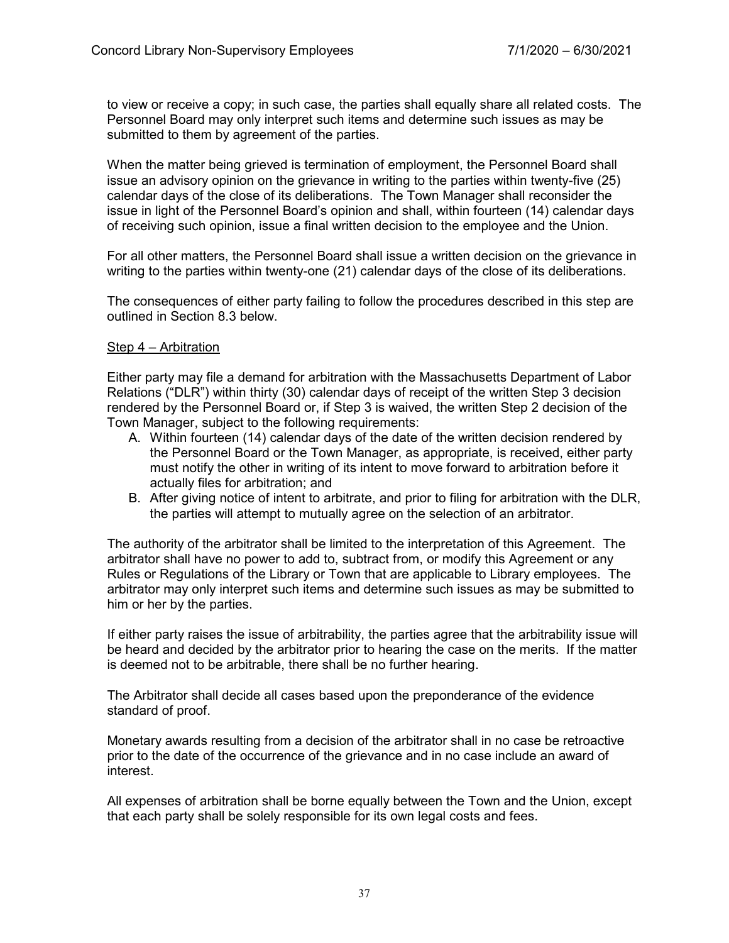to view or receive a copy; in such case, the parties shall equally share all related costs. The Personnel Board may only interpret such items and determine such issues as may be submitted to them by agreement of the parties.

When the matter being grieved is termination of employment, the Personnel Board shall issue an advisory opinion on the grievance in writing to the parties within twenty-five (25) calendar days of the close of its deliberations. The Town Manager shall reconsider the issue in light of the Personnel Board's opinion and shall, within fourteen (14) calendar days of receiving such opinion, issue a final written decision to the employee and the Union.

For all other matters, the Personnel Board shall issue a written decision on the grievance in writing to the parties within twenty-one (21) calendar days of the close of its deliberations.

The consequences of either party failing to follow the procedures described in this step are outlined in Section 8.3 below.

#### Step 4 – Arbitration

Either party may file a demand for arbitration with the Massachusetts Department of Labor Relations ("DLR") within thirty (30) calendar days of receipt of the written Step 3 decision rendered by the Personnel Board or, if Step 3 is waived, the written Step 2 decision of the Town Manager, subject to the following requirements:

- A. Within fourteen (14) calendar days of the date of the written decision rendered by the Personnel Board or the Town Manager, as appropriate, is received, either party must notify the other in writing of its intent to move forward to arbitration before it actually files for arbitration; and
- B. After giving notice of intent to arbitrate, and prior to filing for arbitration with the DLR, the parties will attempt to mutually agree on the selection of an arbitrator.

The authority of the arbitrator shall be limited to the interpretation of this Agreement. The arbitrator shall have no power to add to, subtract from, or modify this Agreement or any Rules or Regulations of the Library or Town that are applicable to Library employees. The arbitrator may only interpret such items and determine such issues as may be submitted to him or her by the parties.

If either party raises the issue of arbitrability, the parties agree that the arbitrability issue will be heard and decided by the arbitrator prior to hearing the case on the merits. If the matter is deemed not to be arbitrable, there shall be no further hearing.

The Arbitrator shall decide all cases based upon the preponderance of the evidence standard of proof.

Monetary awards resulting from a decision of the arbitrator shall in no case be retroactive prior to the date of the occurrence of the grievance and in no case include an award of interest.

All expenses of arbitration shall be borne equally between the Town and the Union, except that each party shall be solely responsible for its own legal costs and fees.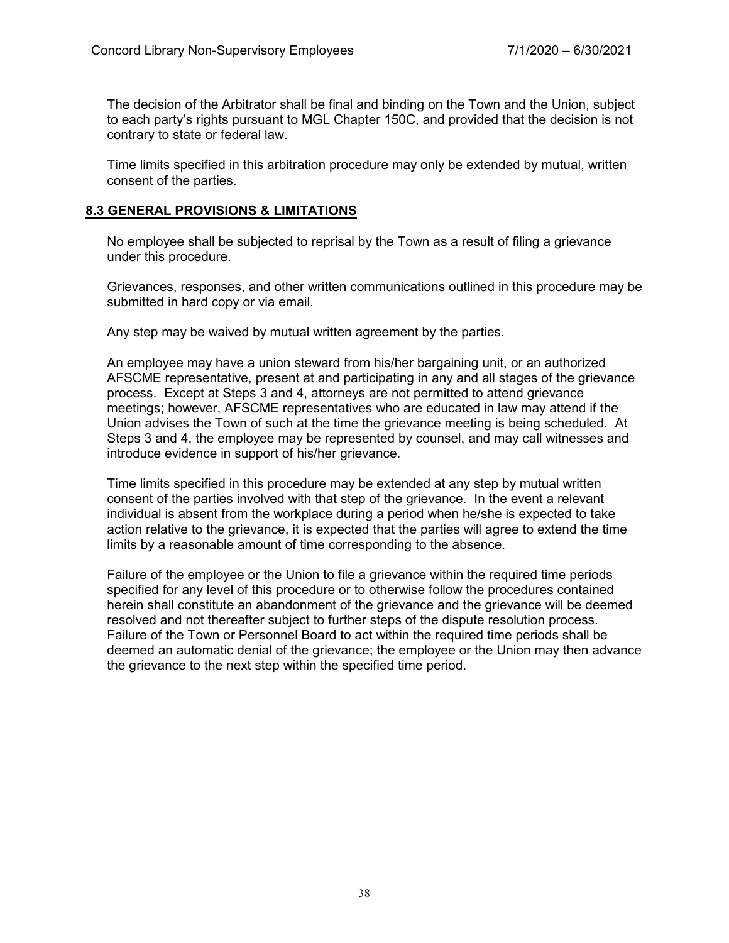The decision of the Arbitrator shall be final and binding on the Town and the Union, subject to each party's rights pursuant to MGL Chapter 150C, and provided that the decision is not contrary to state or federal law.

Time limits specified in this arbitration procedure may only be extended by mutual, written consent of the parties.

#### **8.3 GENERAL PROVISIONS & LIMITATIONS**

No employee shall be subjected to reprisal by the Town as a result of filing a grievance under this procedure.

Grievances, responses, and other written communications outlined in this procedure may be submitted in hard copy or via email.

Any step may be waived by mutual written agreement by the parties.

An employee may have a union steward from his/her bargaining unit, or an authorized AFSCME representative, present at and participating in any and all stages of the grievance process. Except at Steps 3 and 4, attorneys are not permitted to attend grievance meetings; however, AFSCME representatives who are educated in law may attend if the Union advises the Town of such at the time the grievance meeting is being scheduled. At Steps 3 and 4, the employee may be represented by counsel, and may call witnesses and introduce evidence in support of his/her grievance.

Time limits specified in this procedure may be extended at any step by mutual written consent of the parties involved with that step of the grievance. In the event a relevant individual is absent from the workplace during a period when he/she is expected to take action relative to the grievance, it is expected that the parties will agree to extend the time limits by a reasonable amount of time corresponding to the absence.

Failure of the employee or the Union to file a grievance within the required time periods specified for any level of this procedure or to otherwise follow the procedures contained herein shall constitute an abandonment of the grievance and the grievance will be deemed resolved and not thereafter subject to further steps of the dispute resolution process. Failure of the Town or Personnel Board to act within the required time periods shall be deemed an automatic denial of the grievance; the employee or the Union may then advance the grievance to the next step within the specified time period.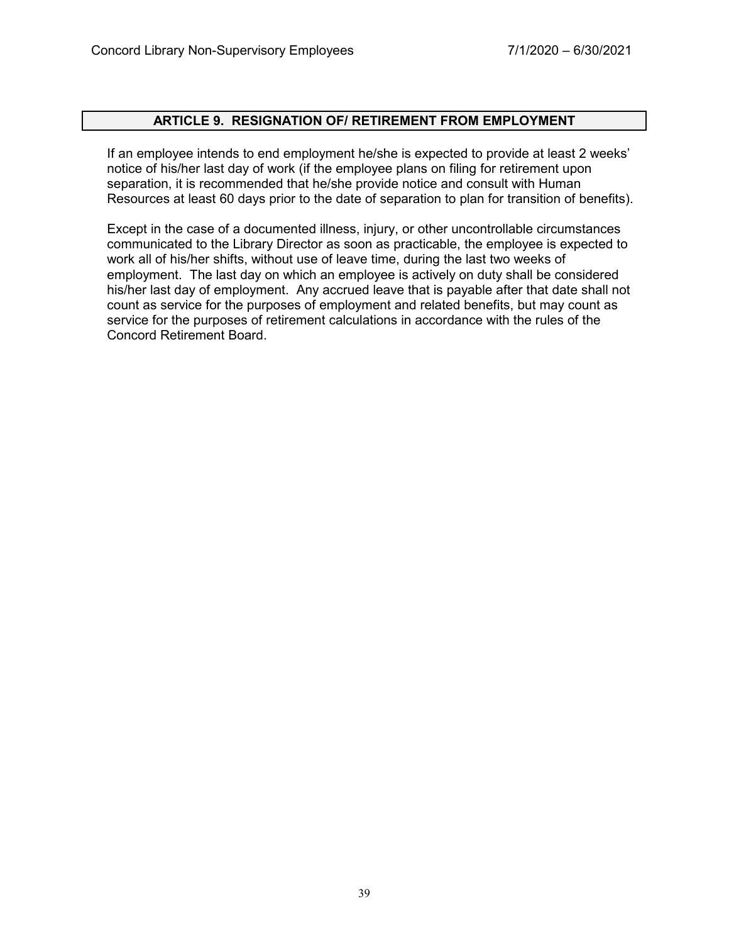#### **ARTICLE 9. RESIGNATION OF/ RETIREMENT FROM EMPLOYMENT**

If an employee intends to end employment he/she is expected to provide at least 2 weeks' notice of his/her last day of work (if the employee plans on filing for retirement upon separation, it is recommended that he/she provide notice and consult with Human Resources at least 60 days prior to the date of separation to plan for transition of benefits).

Except in the case of a documented illness, injury, or other uncontrollable circumstances communicated to the Library Director as soon as practicable, the employee is expected to work all of his/her shifts, without use of leave time, during the last two weeks of employment. The last day on which an employee is actively on duty shall be considered his/her last day of employment. Any accrued leave that is payable after that date shall not count as service for the purposes of employment and related benefits, but may count as service for the purposes of retirement calculations in accordance with the rules of the Concord Retirement Board.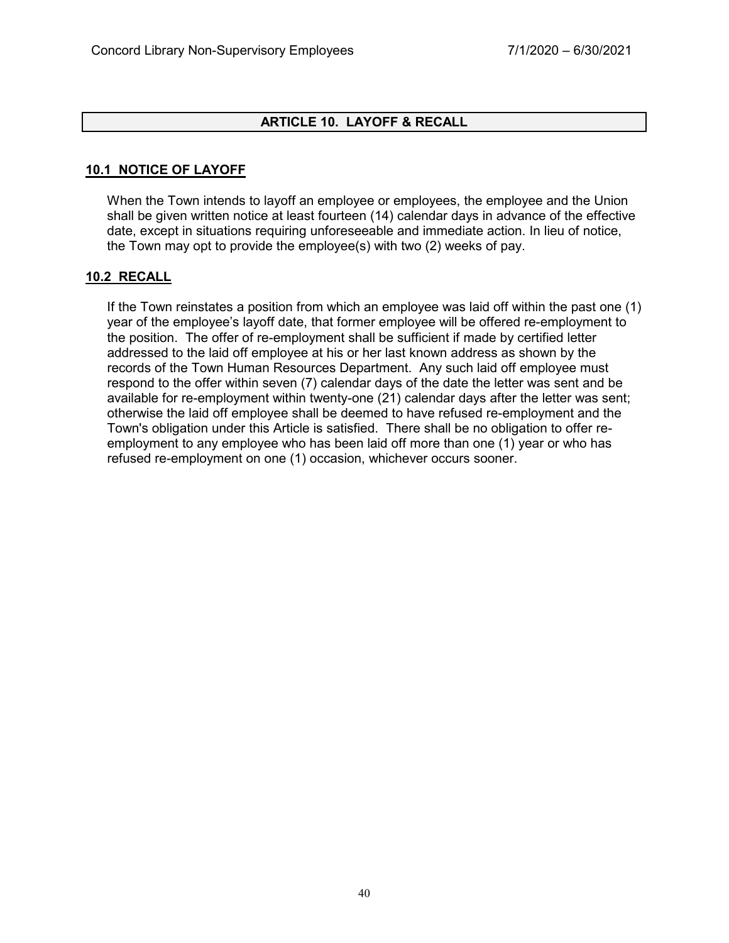## **ARTICLE 10. LAYOFF & RECALL**

## **10.1 NOTICE OF LAYOFF**

When the Town intends to layoff an employee or employees, the employee and the Union shall be given written notice at least fourteen (14) calendar days in advance of the effective date, except in situations requiring unforeseeable and immediate action. In lieu of notice, the Town may opt to provide the employee(s) with two (2) weeks of pay.

#### **10.2 RECALL**

If the Town reinstates a position from which an employee was laid off within the past one (1) year of the employee's layoff date, that former employee will be offered re-employment to the position. The offer of re-employment shall be sufficient if made by certified letter addressed to the laid off employee at his or her last known address as shown by the records of the Town Human Resources Department. Any such laid off employee must respond to the offer within seven (7) calendar days of the date the letter was sent and be available for re-employment within twenty-one (21) calendar days after the letter was sent; otherwise the laid off employee shall be deemed to have refused re-employment and the Town's obligation under this Article is satisfied. There shall be no obligation to offer reemployment to any employee who has been laid off more than one (1) year or who has refused re-employment on one (1) occasion, whichever occurs sooner.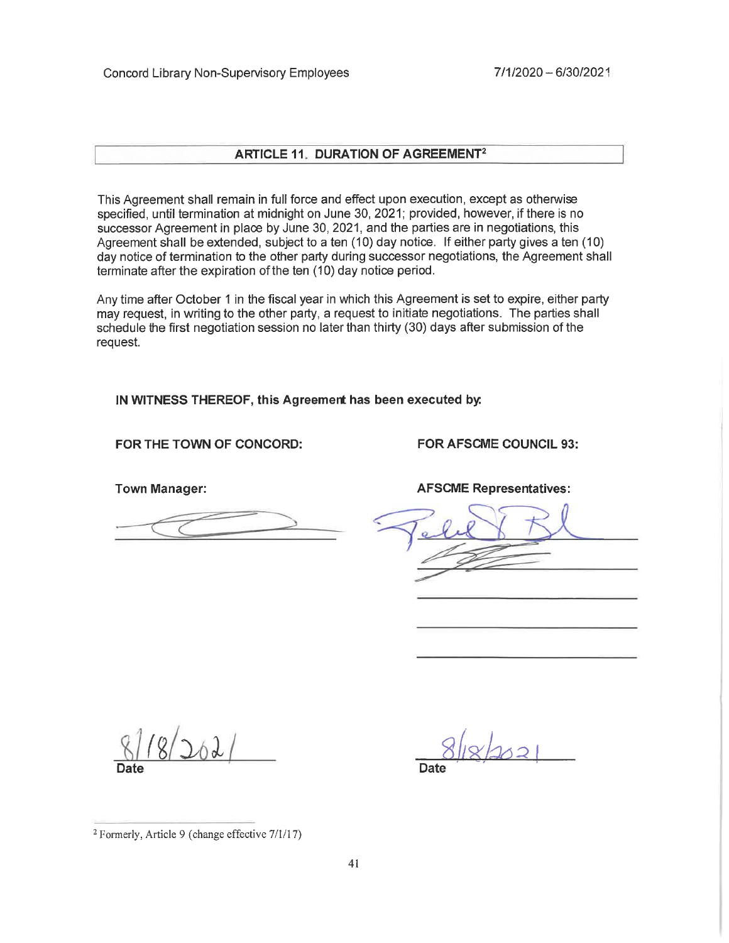#### **ARTICLE 11. DURATION OF AGREEMENT<sup>2</sup>**

This Agreement shall remain in full force and effect upon execution, except as otherwise specified, until termination at midnight on June 30, 2021; provided, however, if there is no successor Agreement in place by June 30, 2021, and the parties are in negotiations, this Agreement shall be extended, subject to a ten (10) day notice. If either party gives a ten (10) day notice of termination to the other party during successor negotiations, the Agreement shall terminate after the expiration of the ten (10) day notice period.

Any time after October 1 in the fiscal year in which this Agreement is set to expire, either party may request, in writing to the other party, a request to initiate negotiations. The parties shall schedule the first negotiation session no later than thirty (30) days after submission of the request.

IN WITNESS THEREOF, this Agreement has been executed by:

#### FOR THE TOWN OF CONCORD:

**Town Manager:** 

**FOR AFSCME COUNCIL 93:** 

**AFSCME Representatives:** 

<sup>&</sup>lt;sup>2</sup> Formerly, Article 9 (change effective 7/1/17)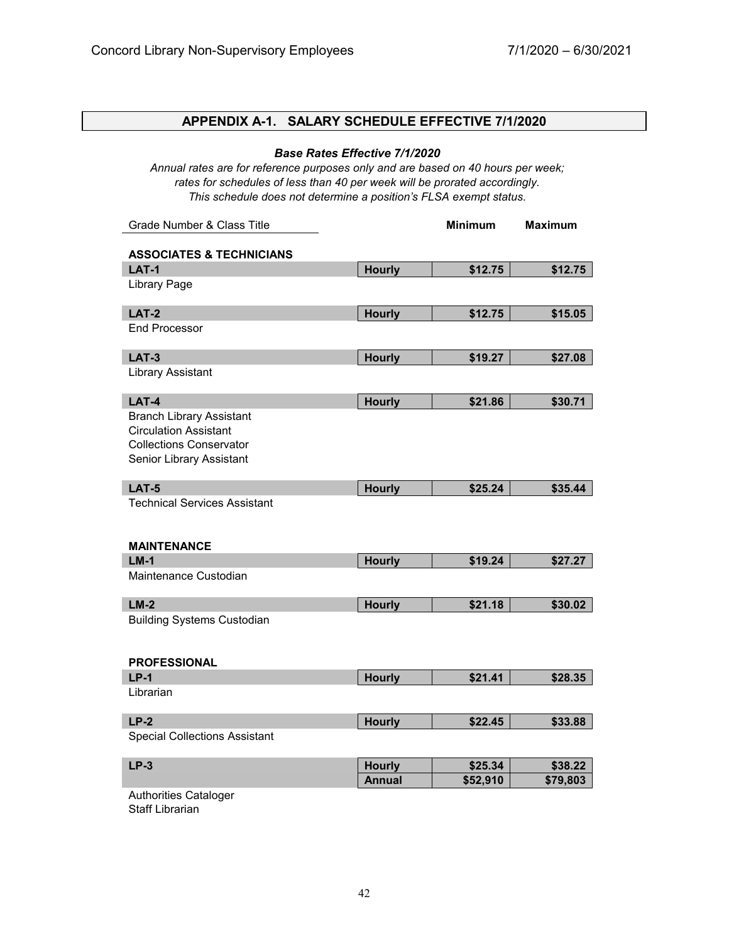# **APPENDIX A-1. SALARY SCHEDULE EFFECTIVE 7/1/2020**

#### *Base Rates Effective 7/1/2020*

*Annual rates are for reference purposes only and are based on 40 hours per week; rates for schedules of less than 40 per week will be prorated accordingly. This schedule does not determine a position's FLSA exempt status.*

| Grade Number & Class Title                                 |               | <b>Minimum</b> | <b>Maximum</b> |
|------------------------------------------------------------|---------------|----------------|----------------|
| <b>ASSOCIATES &amp; TECHNICIANS</b>                        |               |                |                |
| <b>LAT-1</b>                                               | <b>Hourly</b> | \$12.75        | \$12.75        |
| <b>Library Page</b>                                        |               |                |                |
| <b>LAT-2</b>                                               | <b>Hourly</b> | \$12.75        | \$15.05        |
| <b>End Processor</b>                                       |               |                |                |
| <b>LAT-3</b>                                               | <b>Hourly</b> | \$19.27        | \$27.08        |
| <b>Library Assistant</b>                                   |               |                |                |
| LAT-4                                                      | <b>Hourly</b> | \$21.86        | \$30.71        |
| <b>Branch Library Assistant</b>                            |               |                |                |
| <b>Circulation Assistant</b>                               |               |                |                |
| <b>Collections Conservator</b><br>Senior Library Assistant |               |                |                |
|                                                            |               |                |                |
| <b>LAT-5</b>                                               | <b>Hourly</b> | \$25.24        | \$35.44        |
| <b>Technical Services Assistant</b>                        |               |                |                |
|                                                            |               |                |                |
| <b>MAINTENANCE</b>                                         |               |                |                |
| $LM-1$                                                     | <b>Hourly</b> | \$19.24        | \$27.27        |
| Maintenance Custodian                                      |               |                |                |
|                                                            |               |                |                |
| $LM-2$<br><b>Building Systems Custodian</b>                | <b>Hourly</b> | \$21.18        | \$30.02        |
|                                                            |               |                |                |
|                                                            |               |                |                |
| <b>PROFESSIONAL</b>                                        |               |                |                |
| $LP-1$                                                     | <b>Hourly</b> | \$21.41        | \$28.35        |
| Librarian                                                  |               |                |                |
| $LP-2$                                                     | <b>Hourly</b> | \$22.45        | \$33.88        |
| <b>Special Collections Assistant</b>                       |               |                |                |
| $LP-3$                                                     | <b>Hourly</b> | \$25.34        | \$38.22        |
|                                                            | <b>Annual</b> | \$52,910       | \$79,803       |
| Authorities Cataloger<br><b>Staff Librarian</b>            |               |                |                |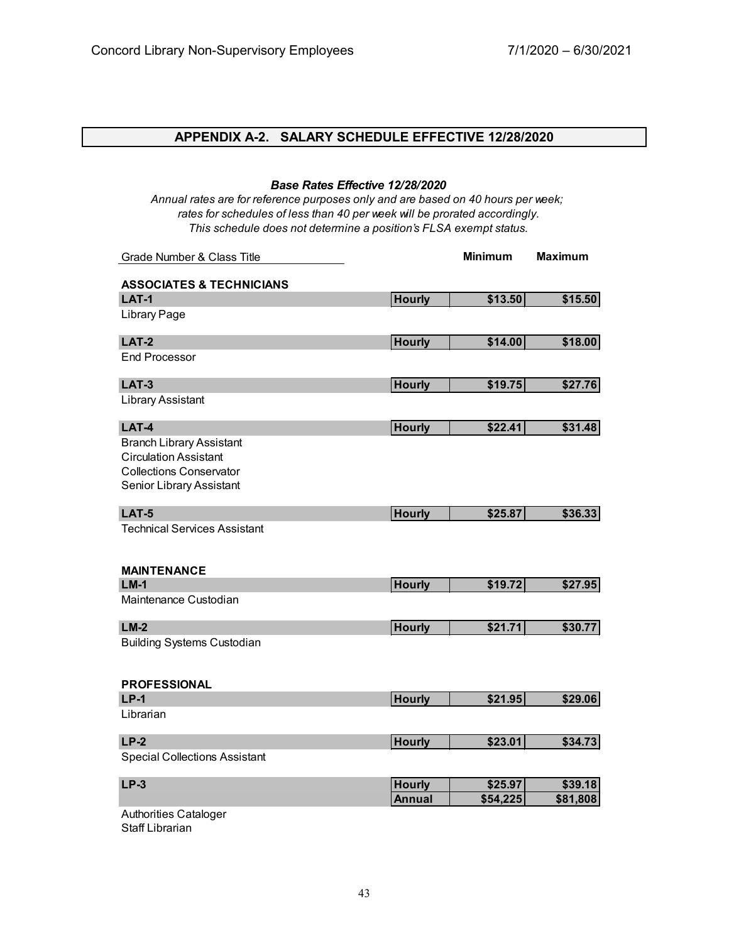# **APPENDIX A-2. SALARY SCHEDULE EFFECTIVE 12/28/2020**

*Base Rates Effective 12/28/2020*

| Annual rates are for reference purposes only and are based on 40 hours per week;<br>rates for schedules of less than 40 per week will be prorated accordingly.<br>This schedule does not determine a position's FLSA exempt status. |               |                |                |
|-------------------------------------------------------------------------------------------------------------------------------------------------------------------------------------------------------------------------------------|---------------|----------------|----------------|
| Grade Number & Class Title                                                                                                                                                                                                          |               | <b>Minimum</b> | <b>Maximum</b> |
| <b>ASSOCIATES &amp; TECHNICIANS</b>                                                                                                                                                                                                 |               |                |                |
| <b>LAT-1</b>                                                                                                                                                                                                                        | <b>Hourly</b> | \$13.50        | \$15.50        |
| Library Page                                                                                                                                                                                                                        |               |                |                |
| <b>LAT-2</b>                                                                                                                                                                                                                        | <b>Hourly</b> | \$14.00        | \$18.00        |
| <b>End Processor</b>                                                                                                                                                                                                                |               |                |                |
| <b>LAT-3</b>                                                                                                                                                                                                                        | <b>Hourly</b> | \$19.75        | \$27.76        |
| Library Assistant                                                                                                                                                                                                                   |               |                |                |
| LAT-4                                                                                                                                                                                                                               | <b>Hourly</b> | \$22.41        | \$31.48        |
| <b>Branch Library Assistant</b><br><b>Circulation Assistant</b><br><b>Collections Conservator</b><br>Senior Library Assistant                                                                                                       |               |                |                |
| <b>LAT-5</b>                                                                                                                                                                                                                        | <b>Hourly</b> | \$25.87        | \$36.33        |
| <b>Technical Services Assistant</b><br><b>MAINTENANCE</b>                                                                                                                                                                           |               |                |                |
| $LM-1$                                                                                                                                                                                                                              | <b>Hourly</b> | \$19.72        | \$27.95        |
| Maintenance Custodian                                                                                                                                                                                                               |               |                |                |
| $LM-2$                                                                                                                                                                                                                              | <b>Hourly</b> | \$21.71        | \$30.77        |
| <b>Building Systems Custodian</b>                                                                                                                                                                                                   |               |                |                |
| <b>PROFESSIONAL</b>                                                                                                                                                                                                                 |               |                |                |
| $LP-1$                                                                                                                                                                                                                              | <b>Hourly</b> | \$21.95        | \$29.06        |
| Librarian                                                                                                                                                                                                                           |               |                |                |
| $LP-2$                                                                                                                                                                                                                              | <b>Hourly</b> | \$23.01        | \$34.73        |
| <b>Special Collections Assistant</b>                                                                                                                                                                                                |               |                |                |
| $LP-3$                                                                                                                                                                                                                              | <b>Hourly</b> | \$25.97        | \$39.18        |
|                                                                                                                                                                                                                                     | <b>Annual</b> | \$54,225       | \$81,808       |
| <b>Authorities Cataloger</b><br>Staff Librarian                                                                                                                                                                                     |               |                |                |

43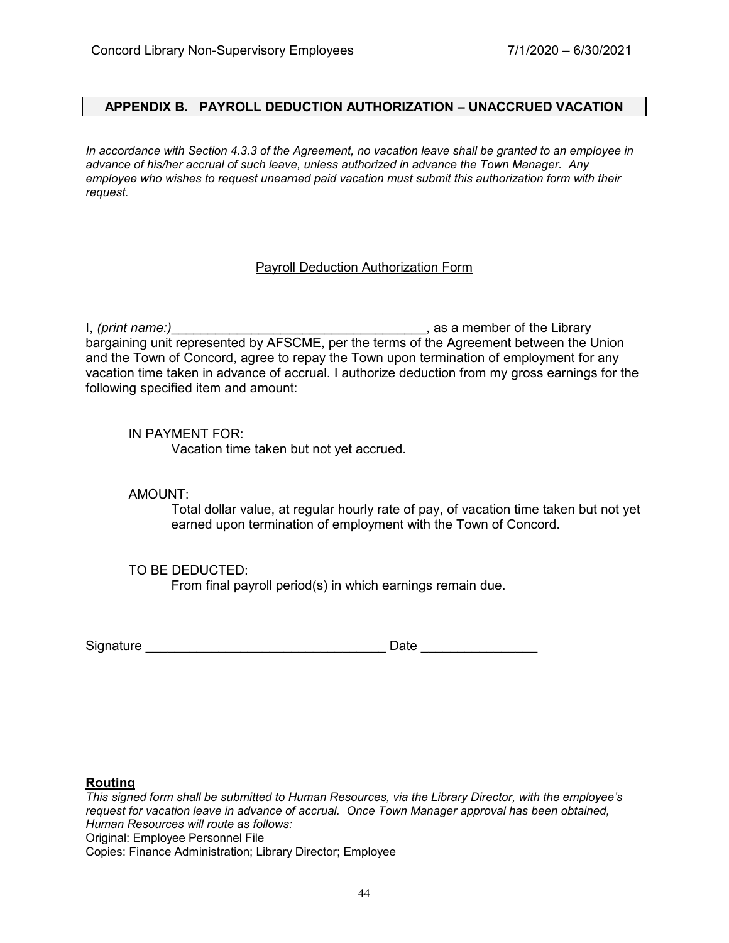#### **APPENDIX B. PAYROLL DEDUCTION AUTHORIZATION – UNACCRUED VACATION**

*In accordance with Section 4.3.3 of the Agreement, no vacation leave shall be granted to an employee in advance of his/her accrual of such leave, unless authorized in advance the Town Manager. Any employee who wishes to request unearned paid vacation must submit this authorization form with their request.*

#### Payroll Deduction Authorization Form

I, *(print name:)*\_\_\_\_\_\_\_\_\_\_\_\_\_\_\_\_\_\_\_\_\_\_\_\_\_\_\_\_\_\_\_\_\_\_\_, as a member of the Library bargaining unit represented by AFSCME, per the terms of the Agreement between the Union and the Town of Concord, agree to repay the Town upon termination of employment for any vacation time taken in advance of accrual. I authorize deduction from my gross earnings for the following specified item and amount:

#### IN PAYMENT FOR:

Vacation time taken but not yet accrued.

#### AMOUNT:

Total dollar value, at regular hourly rate of pay, of vacation time taken but not yet earned upon termination of employment with the Town of Concord.

#### TO BE DEDUCTED:

From final payroll period(s) in which earnings remain due.

Signature \_\_\_\_\_\_\_\_\_\_\_\_\_\_\_\_\_\_\_\_\_\_\_\_\_\_\_\_\_\_\_\_\_ Date \_\_\_\_\_\_\_\_\_\_\_\_\_\_\_\_

#### **Routing**

*This signed form shall be submitted to Human Resources, via the Library Director, with the employee's request for vacation leave in advance of accrual. Once Town Manager approval has been obtained, Human Resources will route as follows:* Original: Employee Personnel File Copies: Finance Administration; Library Director; Employee